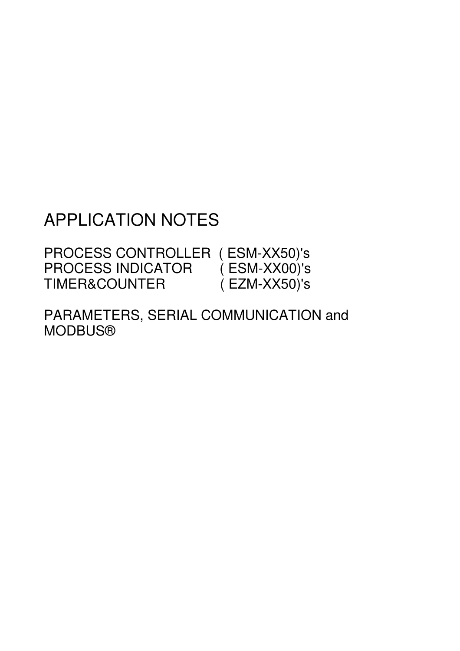# APPLICATION NOTES

PROCESS CONTROLLER ( ESM-XX50)'s<br>PROCESS INDICATOR ( ESM-XX00)'s PROCESS INDICATOR (ESM-XX00)'s<br>TIMER&COUNTER (EZM-XX50)'s TIMER&COUNTER

PARAMETERS, SERIAL COMMUNICATION and MODBUS®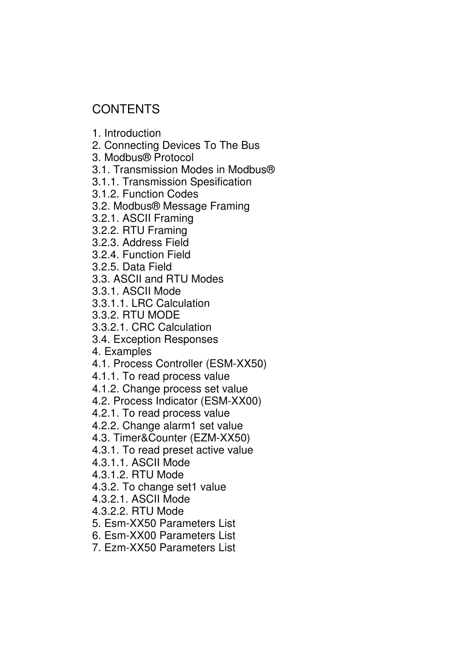## **CONTENTS**

1. Introduction

2. Connecting Devices To The Bus

3. Modbus® Protocol

3.1. Transmission Modes in Modbus®

3.1.1. Transmission Spesification

3.1.2. Function Codes

3.2. Modbus® Message Framing

3.2.1. ASCII Framing

3.2.2. RTU Framing

3.2.3. Address Field

3.2.4. Function Field

3.2.5. Data Field

3.3. ASCII and RTU Modes

3.3.1. ASCII Mode

3.3.1.1. LRC Calculation

3.3.2. RTU MODE

3.3.2.1. CRC Calculation

3.4. Exception Responses

4. Examples

4.1. Process Controller (ESM-XX50)

4.1.1. To read process value

4.1.2. Change process set value

4.2. Process Indicator (ESM-XX00)

4.2.1. To read process value

4.2.2. Change alarm1 set value

4.3. Timer&Counter (EZM-XX50)

4.3.1. To read preset active value

4.3.1.1. ASCII Mode

4.3.1.2. RTU Mode

4.3.2. To change set1 value

4.3.2.1. ASCII Mode

4.3.2.2. RTU Mode

5. Esm-XX50 Parameters List

6. Esm-XX00 Parameters List

7. Ezm-XX50 Parameters List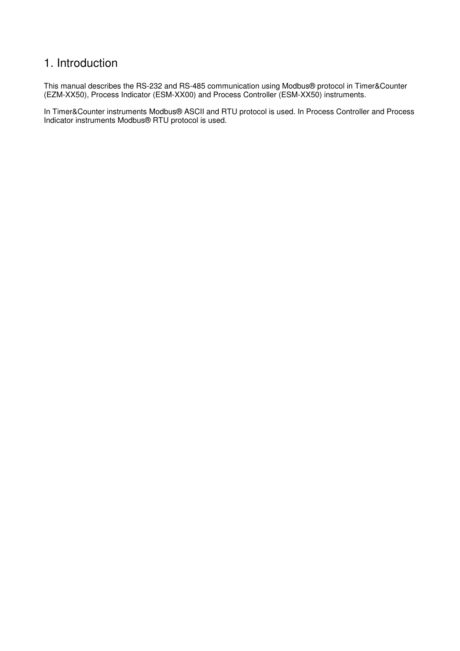## 1. Introduction

This manual describes the RS-232 and RS-485 communication using Modbus® protocol in Timer&Counter (EZM-XX50), Process Indicator (ESM-XX00) and Process Controller (ESM-XX50) instruments.

In Timer&Counter instruments Modbus® ASCII and RTU protocol is used. In Process Controller and Process Indicator instruments Modbus® RTU protocol is used.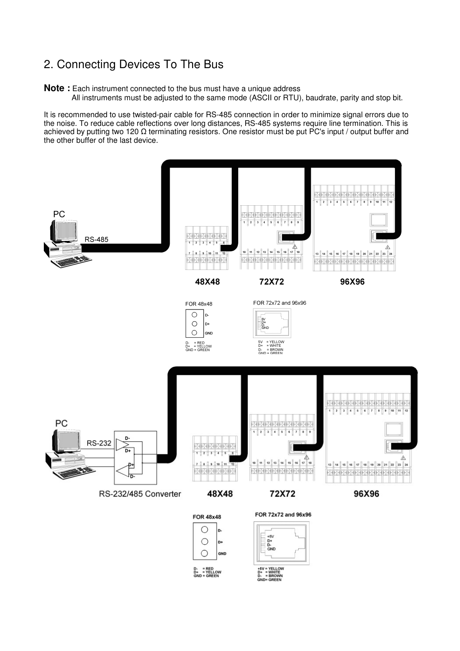## 2. Connecting Devices To The Bus

**Note :** Each instrument connected to the bus must have a unique address

All instruments must be adjusted to the same mode (ASCII or RTU), baudrate, parity and stop bit.

It is recommended to use twisted-pair cable for RS-485 connection in order to minimize signal errors due to the noise. To reduce cable reflections over long distances, RS-485 systems require line termination. This is achieved by putting two 120  $\Omega$  terminating resistors. One resistor must be put PC's input / output buffer and the other buffer of the last device.

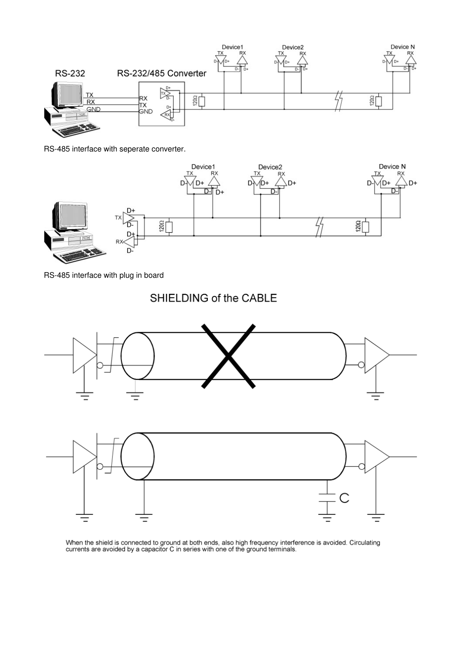

RS-485 interface with seperate converter.



RS-485 interface with plug in board

## SHIELDING of the CABLE



When the shield is connected to ground at both ends, also high frequency interference is avoided. Circulating<br>currents are avoided by a capacitor C in series with one of the ground terminals.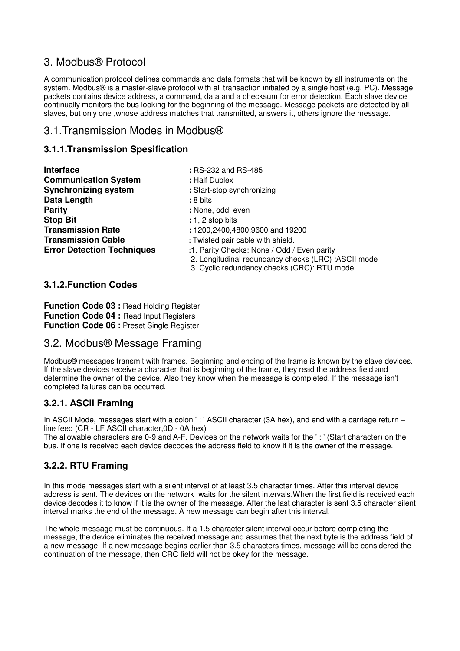## 3. Modbus® Protocol

A communication protocol defines commands and data formats that will be known by all instruments on the system. Modbus® is a master-slave protocol with all transaction initiated by a single host (e.g. PC). Message packets contains device address, a command, data and a checksum for error detection. Each slave device continually monitors the bus looking for the beginning of the message. Message packets are detected by all slaves, but only one ,whose address matches that transmitted, answers it, others ignore the message.

### 3.1.Transmission Modes in Modbus®

#### **3.1.1.Transmission Spesification**

| <b>Interface</b>                  | : RS-232 and RS-485                                 |
|-----------------------------------|-----------------------------------------------------|
| <b>Communication System</b>       | : Half Dublex                                       |
| <b>Synchronizing system</b>       | : Start-stop synchronizing                          |
| Data Length                       | : 8 bits                                            |
| <b>Parity</b>                     | : None, odd, even                                   |
| <b>Stop Bit</b>                   | $: 1, 2$ stop bits                                  |
| <b>Transmission Rate</b>          | : 1200,2400,4800,9600 and 19200                     |
| <b>Transmission Cable</b>         | : Twisted pair cable with shield.                   |
| <b>Error Detection Techniques</b> | :1. Parity Checks: None / Odd / Even parity         |
|                                   | 2. Longitudinal redundancy checks (LRC) :ASCII mode |
|                                   | 3. Cyclic redundancy checks (CRC): RTU mode         |

#### **3.1.2.Function Codes**

**Function Code 03 : Read Holding Register Function Code 04 : Read Input Registers Function Code 06 :** Preset Single Register

### 3.2. Modbus® Message Framing

Modbus® messages transmit with frames. Beginning and ending of the frame is known by the slave devices. If the slave devices receive a character that is beginning of the frame, they read the address field and determine the owner of the device. Also they know when the message is completed. If the message isn't completed failures can be occurred.

#### **3.2.1. ASCII Framing**

In ASCII Mode, messages start with a colon ': ' ASCII character (3A hex), and end with a carriage return – line feed (CR - LF ASCII character,0D - 0A hex)

The allowable characters are 0-9 and A-F. Devices on the network waits for the ' : ' (Start character) on the bus. If one is received each device decodes the address field to know if it is the owner of the message.

#### **3.2.2. RTU Framing**

In this mode messages start with a silent interval of at least 3.5 character times. After this interval device address is sent. The devices on the network waits for the silent intervals.When the first field is received each device decodes it to know if it is the owner of the message. After the last character is sent 3.5 character silent interval marks the end of the message. A new message can begin after this interval.

The whole message must be continuous. If a 1.5 character silent interval occur before completing the message, the device eliminates the received message and assumes that the next byte is the address field of a new message. If a new message begins earlier than 3.5 characters times, message will be considered the continuation of the message, then CRC field will not be okey for the message.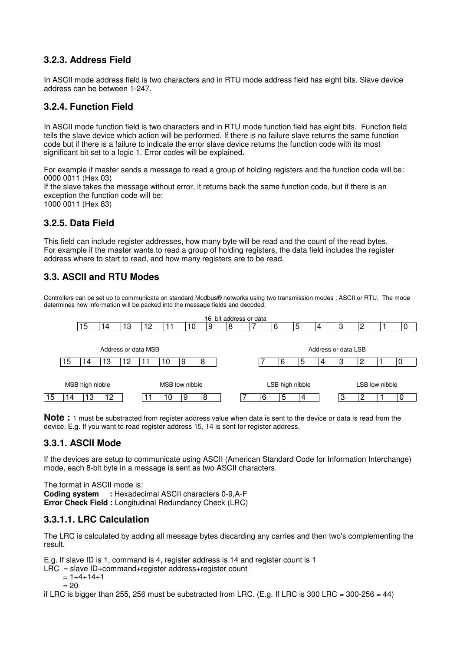#### **3.2.3. Address Field**

In ASCII mode address field is two characters and in RTU mode address field has eight bits. Slave device address can be between 1-247.

#### **3.2.4. Function Field**

In ASCII mode function field is two characters and in RTU mode function field has eight bits. Function field tells the slave device which action will be performed. If there is no failure slave returns the same function code but if there is a failure to indicate the error slave device returns the function code with its most significant bit set to a logic 1. Error codes will be explained.

For example if master sends a message to read a group of holding registers and the function code will be: 0000 0011 (Hex 03) If the slave takes the message without error, it returns back the same function code, but if there is an exception the function code will be: 1000 0011 (Hex 83)

#### **3.2.5. Data Field**

This field can include register addresses, how many byte will be read and the count of the read bytes. For example if the master wants to read a group of holding registers, the data field includes the register address where to start to read, and how many registers are to be read.

#### **3.3. ASCII and RTU Modes**

Controllers can be set up to communicate on standard Modbus® networks using two transmission modes : ASCII or RTU. The mode determines how information will be packed into the message fields and decoded.



**Note :** 1 must be substracted from register address value when data is sent to the device or data is read from the device. E.g. If you want to read register address 15, 14 is sent for register address.

#### **3.3.1. ASCII Mode**

If the devices are setup to communicate using ASCII (American Standard Code for Information Interchange) mode, each 8-bit byte in a message is sent as two ASCII characters.

The format in ASCII mode is:

**Coding system :** Hexadecimal ASCII characters 0-9,A-F **Error Check Field :** Longitudinal Redundancy Check (LRC)

#### **3.3.1.1. LRC Calculation**

The LRC is calculated by adding all message bytes discarding any carries and then two's complementing the result.

E.g. If slave ID is 1, command is 4, register address is 14 and register count is 1

```
LRC = slave ID + command + register address + register constant
```

```
= 1+4+14+1
```

```
= 20
```
if LRC is bigger than 255, 256 must be substracted from LRC. (E.g. If LRC is 300 LRC =  $300-256 = 44$ )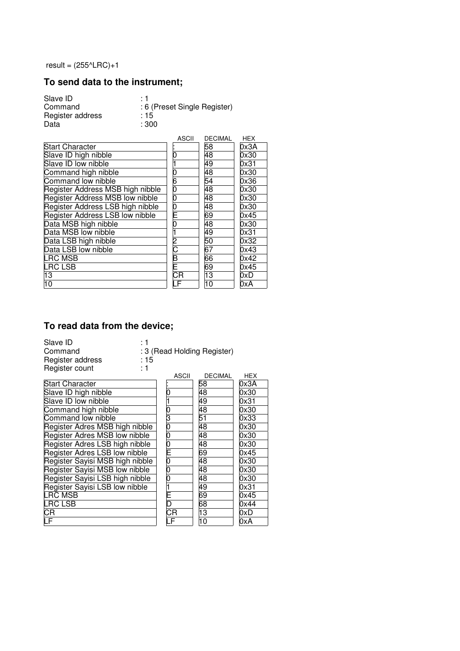result =  $(255^{\circ}LRC)+1$ 

## **To send data to the instrument;**

| Slave ID         | ۰ 1                          |
|------------------|------------------------------|
| Command          | : 6 (Preset Single Register) |
| Register address | : 15                         |
| Data             | : 300                        |

|                                  | ASCII         | <b>DECIMAL</b>  | <b>HEX</b> |
|----------------------------------|---------------|-----------------|------------|
| <b>Start Character</b>           |               | 58              | 0x3A       |
| Slave ID high nibble             | 0             | 48              | 0x30       |
| Slave ID low nibble              |               | 49              | 0x31       |
| Command high nibble              |               | 48              | 0x30       |
| Command low nibble               | 6             | 54              | 0x36       |
| Register Address MSB high nibble | 0             | 48              | 0x30       |
| Register Address MSB low nibble  | 0             | 48              | 0x30       |
| Register Address LSB high nibble | 0             | 48              | 0x30       |
| Register Address LSB low nibble  | Ē             | 69              | 0x45       |
| Data MSB high nibble             | 0             | 48              | 0x30       |
| Data MSB low nibble              |               | 49              | 0x31       |
| Data LSB high nibble             | $\frac{2}{C}$ | 50              | 0x32       |
| Data LSB low nibble              |               | 67              | 0x43       |
| <b>LRC MSB</b>                   | B             | 66              | 0x42       |
| <b>LRC LSB</b>                   |               | 69              | 0x45       |
| 13                               | <b>CR</b>     | $\overline{13}$ | 0xD        |
| 10                               | F             | $\overline{10}$ | 0xA        |

### **To read data from the device;**

| Slave ID         | : 1                         |
|------------------|-----------------------------|
| Command          | : 3 (Read Holding Register) |
| Register address | :15                         |
| Register count   | : 1                         |
|                  | DECIMAL<br>79011            |

|    | 58            | 0x3A |
|----|---------------|------|
| ი  | 48            | 0x30 |
|    | 49            | 0x31 |
|    | 48            | 0x30 |
| 3  | 51            | 0x33 |
| 0  | 48            | 0x30 |
| 0  | 48            | 0x30 |
|    | 48            | 0x30 |
|    | 69            | 0x45 |
| 0  | 48            | 0x30 |
| 0  | 48            | 0x30 |
|    | 48            | 0x30 |
|    | 49            | 0x31 |
|    | 69            | 0x45 |
| n  | 68            | 0x44 |
| СR | 13            | 0xD  |
|    | 10            | 0xA  |
|    | $\frac{0}{E}$ |      |

|                         | ASCII          | <b>DECIMAL</b>             | HEX               |
|-------------------------|----------------|----------------------------|-------------------|
|                         |                | 58                         | 0x3A              |
|                         | $\overline{0}$ | 48                         | 0x30              |
|                         |                | 49                         | 0x31              |
|                         |                | 48                         | 0x30              |
|                         |                | $rac{51}{48}$              | $\overline{0x3}3$ |
| ble                     |                |                            | 0x30              |
| ole                     |                | $\overline{48}$            | 0x30              |
| ble                     |                | 48                         | $\overline{0x}30$ |
| $\overline{\mathsf{e}}$ |                | 69                         | 0x45              |
| $\square$               |                | 48                         | $\overline{0x}30$ |
| ole                     |                | 48                         | 0x30              |
| ble                     |                | 48                         | 0x30              |
| ۱le                     |                | $\frac{1}{49}$<br>69<br>68 | $\overline{0x}31$ |
|                         |                |                            | 0x45              |
|                         |                |                            | 0x44              |
|                         |                | $\frac{1}{13}$             | 0xD               |
|                         |                | $\overline{10}$            | N۷                |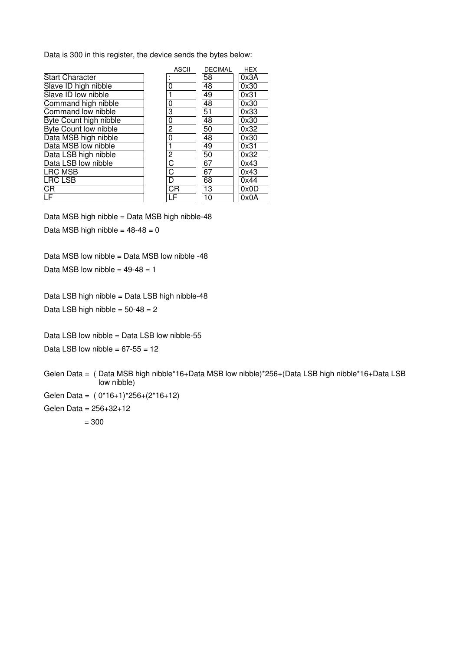Data is 300 in this register, the device sends the bytes below:

|                              | <b>ASCII</b>   | <b>DECIMAL</b>  | <b>HEX</b> |
|------------------------------|----------------|-----------------|------------|
| <b>Start Character</b>       | ٠              | 58              | 0x3A       |
| Slave ID high nibble         | 0              | 48              | 0x30       |
| Slave ID low nibble          |                | 49              | 0x31       |
| Command high nibble          | 0              | 48              | 0x30       |
| Command low nibble           | 3              | $\overline{51}$ | 0x33       |
| Byte Count high nibble       | 0              | 48              | 0x30       |
| <b>Byte Count low nibble</b> | $\overline{2}$ | 50              | 0x32       |
| Data MSB high nibble         | 0              | 48              | 0x30       |
| Data MSB low nibble          | 1              | 49              | 0x31       |
| Data LSB high nibble         | $\overline{2}$ | 50              | 0x32       |
| Data LSB low nibble          | С              | 67              | 0x43       |
| LRC MSB                      | C              | 67              | 0x43       |
| LRC LSB                      | D              | 68              | 0x44       |
| CR                           | CR             | 13              | 0x0D       |
| $\overline{\mathsf{LF}}$     | LF             | 10              | 0x0A       |

Data MSB high nibble = Data MSB high nibble-48 Data MSB high nibble =  $48-48 = 0$ 

Data MSB low nibble = Data MSB low nibble -48 Data MSB low nibble =  $49-48 = 1$ 

Data LSB high nibble = Data LSB high nibble-48 Data LSB high nibble =  $50-48 = 2$ 

Data LSB low nibble = Data LSB low nibble-55

Data LSB low nibble =  $67-55 = 12$ 

Gelen Data = ( Data MSB high nibble\*16+Data MSB low nibble)\*256+(Data LSB high nibble\*16+Data LSB low nibble)

Gelen Data = ( 0\*16+1)\*256+(2\*16+12)

Gelen Data = 256+32+12  $= 300$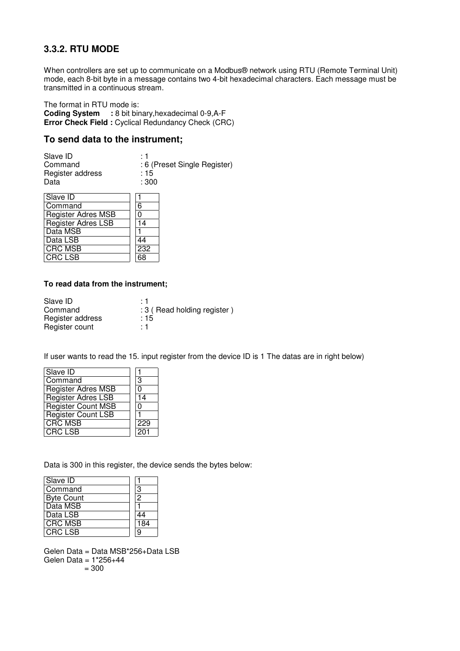#### **3.3.2. RTU MODE**

When controllers are set up to communicate on a Modbus® network using RTU (Remote Terminal Unit) mode, each 8-bit byte in a message contains two 4-bit hexadecimal characters. Each message must be transmitted in a continuous stream.

The format in RTU mode is:

**Coding System :** 8 bit binary,hexadecimal 0-9,A-F **Error Check Field :** Cyclical Redundancy Check (CRC)

#### **To send data to the instrument;**

| Slave ID         | <u>. 1</u>                   |
|------------------|------------------------------|
| Command          | : 6 (Preset Single Register) |
| Register address | :15                          |
| Data             | :300                         |

| Slave ID                  |     |
|---------------------------|-----|
| Command                   | 6   |
| <b>Register Adres MSB</b> | U   |
| <b>Register Adres LSB</b> | 14  |
| Data MSB                  |     |
| Data LSB                  | 44  |
| <b>CRC MSB</b>            | 232 |
| <b>CRC LSB</b>            |     |

#### **To read data from the instrument;**

| Slave ID         | . 1                           |
|------------------|-------------------------------|
| Command          | : 3 ( Read holding register ) |
| Register address | :15                           |
| Register count   | $\div$ 1                      |

If user wants to read the 15. input register from the device ID is 1 The datas are in right below)

| Slave ID                  |     |
|---------------------------|-----|
| Command                   | 3   |
| <b>Register Adres MSB</b> |     |
| Register Adres LSB        | 14  |
| <b>Register Count MSB</b> | 0   |
| Register Count LSB        |     |
| <b>CRC MSB</b>            | 229 |
| <b>CRC LSB</b>            | 201 |

Data is 300 in this register, the device sends the bytes below:

| Slave ID          |                |
|-------------------|----------------|
| Command           | 3              |
| <b>Byte Count</b> | $\overline{2}$ |
| Data MSB          |                |
| <b>Data LSB</b>   | 44             |
| <b>CRC MSB</b>    | 184            |
| <b>CRC LSB</b>    | 9              |

Gelen Data = Data MSB\*256+Data LSB Gelen Data = 1\*256+44 = 300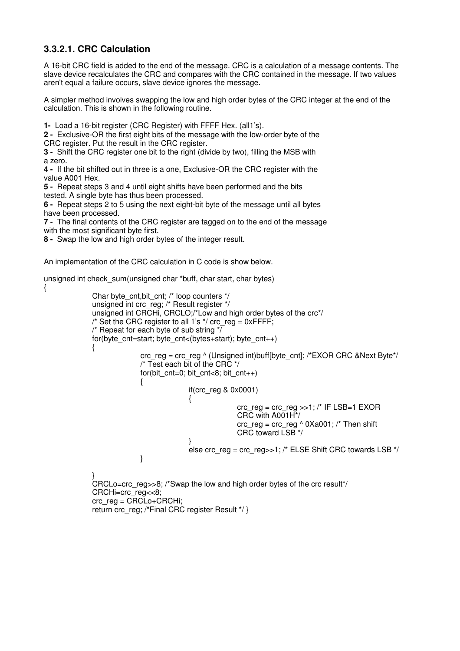### **3.3.2.1. CRC Calculation**

{

A 16-bit CRC field is added to the end of the message. CRC is a calculation of a message contents. The slave device recalculates the CRC and compares with the CRC contained in the message. If two values aren't equal a failure occurs, slave device ignores the message.

A simpler method involves swapping the low and high order bytes of the CRC integer at the end of the calculation. This is shown in the following routine.

**1-** Load a 16-bit register (CRC Register) with FFFF Hex. (all1's).

**2 -** Exclusive-OR the first eight bits of the message with the low-order byte of the CRC register. Put the result in the CRC register.

**3 -** Shift the CRC register one bit to the right (divide by two), filling the MSB with a zero.

**4 -** If the bit shifted out in three is a one, Exclusive-OR the CRC register with the value A001 Hex.

**5 -** Repeat steps 3 and 4 until eight shifts have been performed and the bits tested. A single byte has thus been processed.

**6 -** Repeat steps 2 to 5 using the next eight-bit byte of the message until all bytes have been processed.

**7 -** The final contents of the CRC register are tagged on to the end of the message with the most significant byte first.

**8 -** Swap the low and high order bytes of the integer result.

An implementation of the CRC calculation in C code is show below.

unsigned int check\_sum(unsigned char \*buff, char start, char bytes)

```
Char byte_cnt,bit_cnt; /* loop counters */
unsigned int crc_reg; /* Result register */ 
unsigned int CRCHi, CRCLO;/*Low and high order bytes of the crc*/ 
/* Set the CRC register to all 1's \gamma crc_reg = 0xFFFF;
\prime^* Repeat for each byte of sub string \sqrt[t]{\phantom{\mathcal{L}^*}}for(byte_cnt=start; byte_cnt<(bytes+start); byte_cnt++)
{
               crc_reg = crc_reg ^ (Unsigned int)buff[byte_cnt]; /*EXOR CRC &Next Byte*/
               /* Test each bit of the CRC */ 
               for(bit cnt=0; bit cnt<8; bit cnt++)
               {
                                if(crc_reg & 0x0001) 
                                {
                                                \text{circ\_reg} = \text{circ\_reg} >> 1; /* IF LSB=1 EXOR
                                                CRC with A001H*/ 
                                               \text{circ\_reg} = \text{circ\_reg} \wedge 0 \text{Xa001}; /* Then shift
                                                CRC toward LSB */ 
                                } 
                                else crc_reg = crc_reg >>1; /* ELSE Shift CRC towards LSB */
               } 
} 
CRCLo=crc_reg>>8; /*Swap the low and high order bytes of the crc result*/
CRCHi=crc_reg<<8;
```
crc\_reg = CRCLo+CRCHi; return crc\_reg; /\*Final CRC register Result \*/ }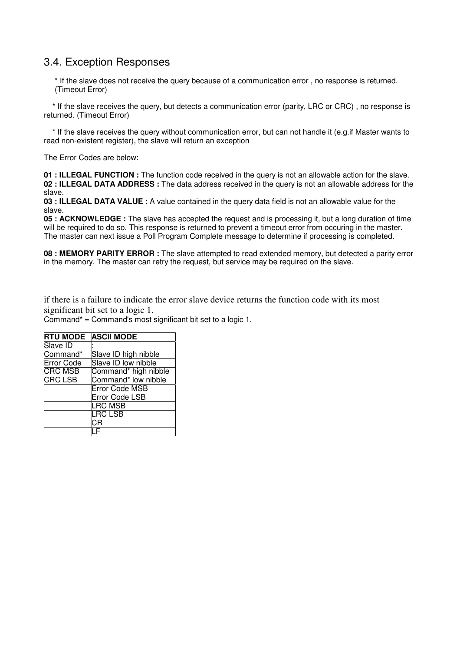### 3.4. Exception Responses

\* If the slave does not receive the query because of a communication error , no response is returned. (Timeout Error)

 \* If the slave receives the query, but detects a communication error (parity, LRC or CRC) , no response is returned. (Timeout Error)

 \* If the slave receives the query without communication error, but can not handle it (e.g.if Master wants to read non-existent register), the slave will return an exception

The Error Codes are below:

**01 : ILLEGAL FUNCTION :** The function code received in the query is not an allowable action for the slave. **02 : ILLEGAL DATA ADDRESS :** The data address received in the query is not an allowable address for the slave.

**03 : ILLEGAL DATA VALUE :** A value contained in the query data field is not an allowable value for the slave.

**05 : ACKNOWLEDGE :** The slave has accepted the request and is processing it, but a long duration of time will be required to do so. This response is returned to prevent a timeout error from occuring in the master. The master can next issue a Poll Program Complete message to determine if processing is completed.

**08 : MEMORY PARITY ERROR :** The slave attempted to read extended memory, but detected a parity error in the memory. The master can retry the request, but service may be required on the slave.

if there is a failure to indicate the error slave device returns the function code with its most significant bit set to a logic 1.

Command\* = Command's most significant bit set to a logic 1.

| <b>RTU MODE</b>   | <b>ASCII MODE</b>     |
|-------------------|-----------------------|
| Slave ID          |                       |
| Command*          | Slave ID high nibble  |
| <b>Error Code</b> | Slave ID low nibble   |
| <b>CRC MSB</b>    | Command* high nibble  |
| <b>CRC LSB</b>    | Command* low nibble   |
|                   | Error Code MSB        |
|                   | <b>Error Code LSB</b> |
|                   | <b>LRC MSB</b>        |
|                   | <b>LRC LSB</b>        |
|                   | C.R                   |
|                   |                       |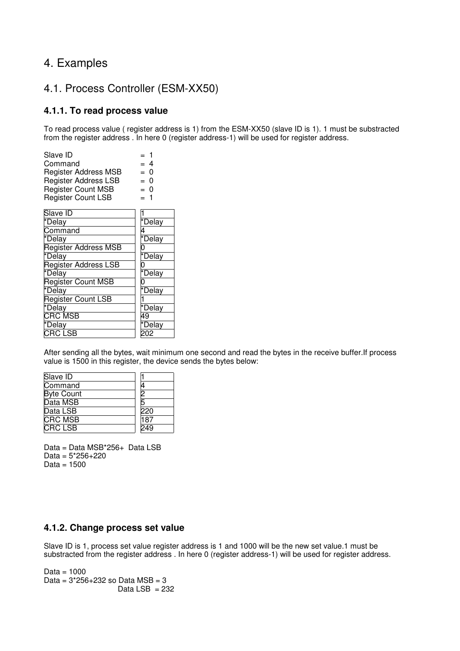## 4. Examples

### 4.1. Process Controller (ESM-XX50)

#### **4.1.1. To read process value**

To read process value ( register address is 1) from the ESM-XX50 (slave ID is 1). 1 must be substracted from the register address . In here 0 (register address-1) will be used for register address.

| Slave ID                    |        |
|-----------------------------|--------|
| Command                     | = 4    |
| <b>Register Address MSB</b> | = 0    |
| <b>Register Address LSB</b> | = 0    |
| <b>Register Count MSB</b>   | = 0    |
| <b>Register Count LSB</b>   | - 1    |
| Slave ID                    |        |
| *Delay                      | *Delay |
| Command                     |        |
| *Delay                      | *Delay |
| <b>Register Address MSB</b> |        |
| *Delay                      | *Delay |
| Register Address LSB        |        |
| *Delay                      | *Delay |
| Register Count MSB          |        |
| *Delay                      | *Delay |
| <b>Register Count LSB</b>   |        |
| *Delay                      | *Delay |
| CRC MSB                     | 49     |
| *Delay                      | *Delay |
| CRC LSB                     |        |

After sending all the bytes, wait minimum one second and read the bytes in the receive buffer.If process value is 1500 in this register, the device sends the bytes below:

| Slave ID          |                  |
|-------------------|------------------|
| Command           |                  |
| <b>Byte Count</b> | r                |
| Data MSB          |                  |
| Data LSB          | 220              |
| <b>CRC MSB</b>    | $\overline{187}$ |
| <b>CRC LSB</b>    |                  |

Data = Data MSB\*256+ Data LSB Data = 5\*256+220 Data =  $1500$ 

#### **4.1.2. Change process set value**

Slave ID is 1, process set value register address is 1 and 1000 will be the new set value.1 must be substracted from the register address . In here 0 (register address-1) will be used for register address.

Data =  $1000$ Data =  $3*256+232$  so Data  $MSB = 3$ Data LSB  $= 232$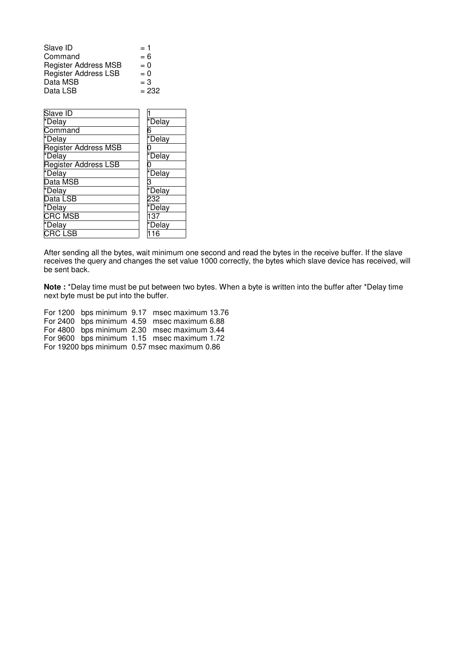| $= 1$   |
|---------|
| $= 6$   |
| $= 0$   |
| $= 0$   |
| $=$ 3   |
| $= 232$ |
|         |

| *Delay |
|--------|
| 6      |
| *Delay |
|        |
| *Delay |
|        |
| *Delay |
|        |
| TDelay |
| 232    |
| *Delay |
| 137    |
| *Delay |
| 16     |
|        |

After sending all the bytes, wait minimum one second and read the bytes in the receive buffer. If the slave receives the query and changes the set value 1000 correctly, the bytes which slave device has received, will be sent back.

**Note :** \*Delay time must be put between two bytes. When a byte is written into the buffer after \*Delay time next byte must be put into the buffer.

For 1200 bps minimum 9.17 msec maximum 13.76 For 2400 bps minimum 4.59 msec maximum 6.88 For 4800 bps minimum 2.30 msec maximum 3.44 For 9600 bps minimum 1.15 msec maximum 1.72 For 19200 bps minimum 0.57 msec maximum 0.86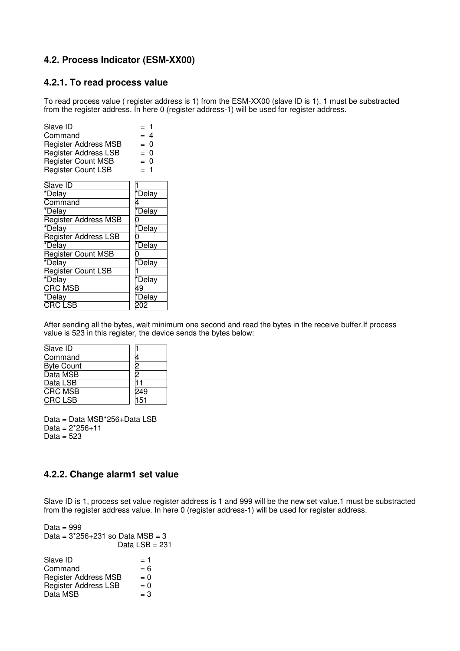#### **4.2. Process Indicator (ESM-XX00)**

#### **4.2.1. To read process value**

To read process value ( register address is 1) from the ESM-XX00 (slave ID is 1). 1 must be substracted from the register address. In here 0 (register address-1) will be used for register address.

| Slave ID                    |        |
|-----------------------------|--------|
| Command                     | = 4    |
| <b>Register Address MSB</b> | = 0    |
| <b>Register Address LSB</b> | = 0    |
| <b>Register Count MSB</b>   | = 0    |
| <b>Register Count LSB</b>   | - 1    |
| Slave ID                    |        |
| *Delay                      | *Delay |
| Command                     |        |
| *Delay                      | *Delay |
| <b>Register Address MSB</b> |        |
| *Delay                      | *Delay |
| <b>Register Address LSB</b> |        |
| *Delay                      | *Delay |
| <b>Register Count MSB</b>   |        |
| *Delay                      | *Delay |
| Register Count LSB          |        |
| *Delay                      | *Delay |
| $CRC$ MSB                   | 49     |
| *Delay                      | *Delay |
| CRC LSB                     |        |
|                             |        |

After sending all the bytes, wait minimum one second and read the bytes in the receive buffer.If process value is 523 in this register, the device sends the bytes below:

| Slave ID          |     |
|-------------------|-----|
| Command           |     |
| <b>Byte Count</b> | ヮ   |
| Data MSB          | ヮ   |
| Data LSB          |     |
| <b>CRC MSB</b>    | 249 |
| <b>CRCLSB</b>     | 151 |

Data = Data MSB\*256+Data LSB  $Data = 2*256+11$ Data =  $523$ 

#### **4.2.2. Change alarm1 set value**

Slave ID is 1, process set value register address is 1 and 999 will be the new set value.1 must be substracted from the register address value. In here 0 (register address-1) will be used for register address.

| Data = 999                         |                |
|------------------------------------|----------------|
| Data = $3*256+231$ so Data MSB = 3 |                |
|                                    | Data LSB = 231 |
|                                    |                |
| Slave ID                           | $= 1$          |
| Command                            | $= 6$          |
| <b>Register Address MSB</b>        | $= 0$          |
| Register Address LSB               | $= 0$          |
| Data MSB                           | $=$ 3          |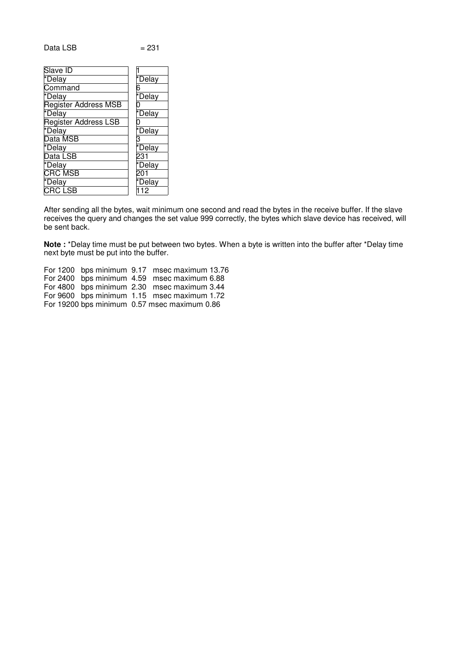Data LSB

| ×<br>۰. |
|---------|
|---------|

| Slave ID                     |        |
|------------------------------|--------|
| *Delay                       | *Delay |
| Command                      | 6      |
| *Delay                       | *Delay |
| <b>Register Address MSB</b>  | N      |
| *Delay                       | *Delay |
| <b>Register Address LSB</b>  | 0      |
| *Delay                       | *Delay |
| Data MSB                     |        |
| *Delay                       | *Delay |
| Data LSB                     | 231    |
| *Delay                       | *Delay |
| <b>CRC MSB</b>               |        |
| *Delay                       | *Delay |
| $\overline{\text{C}}$ RC LSB | 12     |
|                              |        |

After sending all the bytes, wait minimum one second and read the bytes in the receive buffer. If the slave receives the query and changes the set value 999 correctly, the bytes which slave device has received, will be sent back.

**Note :** \*Delay time must be put between two bytes. When a byte is written into the buffer after \*Delay time next byte must be put into the buffer.

For 1200 bps minimum 9.17 msec maximum 13.76 For 2400 bps minimum 4.59 msec maximum 6.88 For 4800 bps minimum 2.30 msec maximum 3.44 For 9600 bps minimum 1.15 msec maximum 1.72 For 19200 bps minimum 0.57 msec maximum 0.86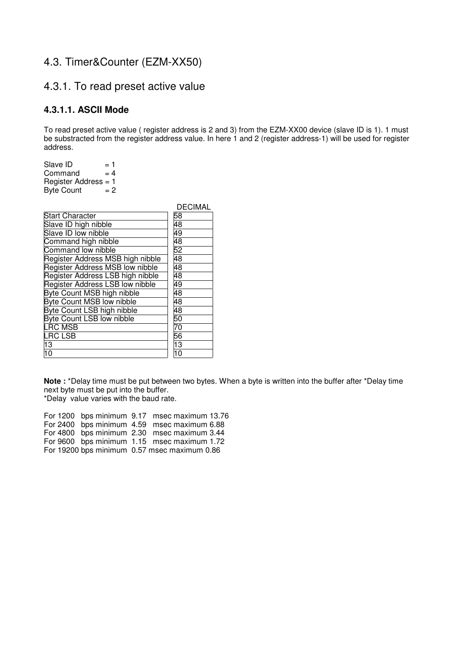### 4.3. Timer&Counter (EZM-XX50)

### 4.3.1. To read preset active value

#### **4.3.1.1. ASCII Mode**

To read preset active value ( register address is 2 and 3) from the EZM-XX00 device (slave ID is 1). 1 must be substracted from the register address value. In here 1 and 2 (register address-1) will be used for register address.

Slave ID  $= 1$ <br>Command  $= 4$ Command Register Address = 1<br>Byte Count =  $2$ Byte Count

|                                        | DECIMAL |
|----------------------------------------|---------|
| <b>Start Character</b>                 | 58      |
| Slave ID high nibble                   | 48      |
| Slave ID low nibble                    | 49      |
| Command high nibble                    | 48      |
| Command low nibble                     | 52      |
| Register Address MSB high nibble       | 48      |
| Register Address MSB low nibble        | 48      |
| Register Address LSB high nibble       | 48      |
| <b>Register Address LSB low nibble</b> | 49      |
| <b>Byte Count MSB high nibble</b>      | 48      |
| <b>Byte Count MSB low nibble</b>       | 48      |
| Byte Count LSB high nibble             | 48      |
| <b>Byte Count LSB low nibble</b>       | 50      |
| <b>LRC MSB</b>                         | 70      |
| <b>LRC LSB</b>                         | 56      |
| 13                                     | 13      |
| 10                                     |         |

**Note :** \*Delay time must be put between two bytes. When a byte is written into the buffer after \*Delay time next byte must be put into the buffer. \*Delay value varies with the baud rate.

For 1200 bps minimum 9.17 msec maximum 13.76 For 2400 bps minimum 4.59 msec maximum 6.88 For 4800 bps minimum 2.30 msec maximum 3.44 For 9600 bps minimum 1.15 msec maximum 1.72 For 19200 bps minimum 0.57 msec maximum 0.86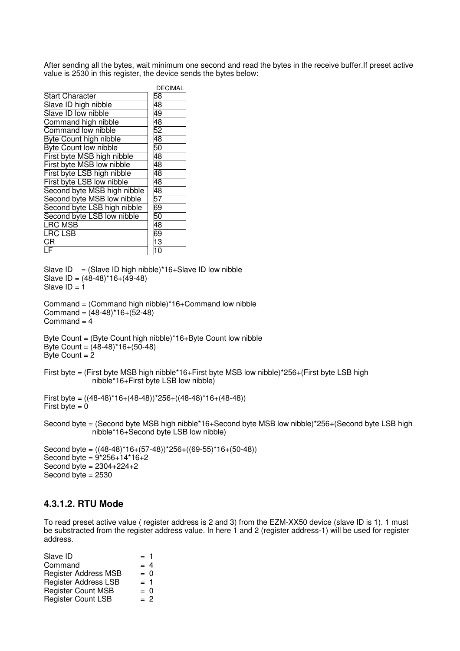After sending all the bytes, wait minimum one second and read the bytes in the receive buffer.If preset active value is 2530 in this register, the device sends the bytes below:

|                              | <b>DECIMAL</b>  |
|------------------------------|-----------------|
| Start Character              | 58              |
| Slave ID high nibble         | 48              |
| Slave ID low nibble          | 49              |
| Command high nibble          | 48              |
| Command low nibble           | 52              |
| Byte Count high nibble       | 48              |
| <b>Byte Count low nibble</b> | 50              |
| First byte MSB high nibble   | 48              |
| First byte MSB low nibble    | 48              |
| First byte LSB high nibble   | 48              |
| First byte LSB low nibble    | 48              |
| Second byte MSB high nibble  | 48              |
| Second byte MSB low nibble   | 57              |
| Second byte LSB high nibble  | 69<br>50        |
| Second byte LSB low nibble   |                 |
| <b>LRC MSB</b>               | 48              |
| <b>LRC LSB</b>               | 69              |
| $\overline{\mathsf{CR}}$     | $\overline{13}$ |
| $\bar{\bm{\mathsf{F}}}$      | 10              |

Slave  $ID = (Slave ID high nibble)*16+Slave ID low nibble)$ Slave ID = (48-48)\*16+(49-48) Slave  $ID = 1$ 

```
Command = (Command high nibble)*16+Command low nibble
Command = (48-48)^*16+(52-48)Command = 4
```

```
Byte Count = (Byte Count high nibble)*16+Byte Count low nibble
Byte Count = (48-48)^*16+(50-48)Byte Count = 2
```
First byte = (First byte MSB high nibble\*16+First byte MSB low nibble)\*256+(First byte LSB high nibble\*16+First byte LSB low nibble)

```
First byte = ((48-48)^*16+(48-48))^*256+((48-48)^*16+(48-48))First byte = 0
```
Second byte = (Second byte MSB high nibble\*16+Second byte MSB low nibble)\*256+(Second byte LSB high nibble\*16+Second byte LSB low nibble)

```
Second byte = ((48-48)*16+(57-48))*256+((69-55)*16+(50-48))
Second byte = 9*256+14*16+2Second byte = 2304 + 224 + 2Second byte = 2530
```
#### **4.3.1.2. RTU Mode**

To read preset active value ( register address is 2 and 3) from the EZM-XX50 device (slave ID is 1). 1 must be substracted from the register address value. In here 1 and 2 (register address-1) will be used for register address.

| Slave ID                    | $= 1$ |
|-----------------------------|-------|
| Command                     | $= 4$ |
| <b>Register Address MSB</b> | $= 0$ |
| <b>Register Address LSB</b> | $= 1$ |
| <b>Register Count MSB</b>   | $= 0$ |
| <b>Register Count LSB</b>   | $= 2$ |
|                             |       |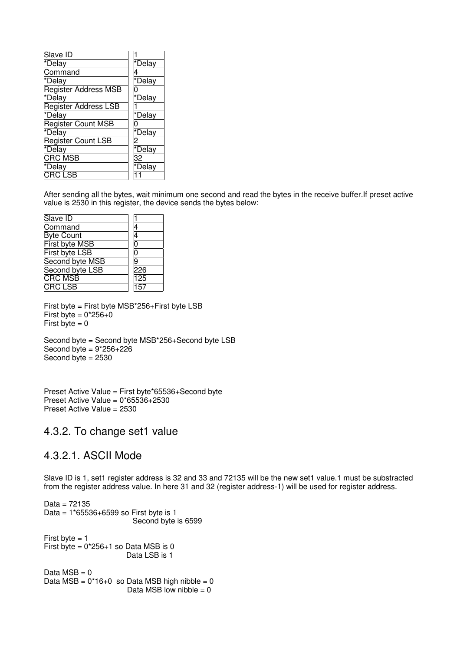| Slave ID                  |        |
|---------------------------|--------|
| *Delay                    | *Delay |
| Command                   |        |
| *Delay                    | *Delay |
| Register Address MSB      |        |
| *Delay                    | *Delay |
| Register Address LSB      |        |
| *Delay                    | *Delay |
| <b>Register Count MSB</b> |        |
| *Delay                    | *Delay |
| <b>Register Count LSB</b> |        |
| *Delay                    | *Delay |
| CRC MSB                   | 32     |
| *Delay                    | *Delay |
| CRC LSB                   |        |

After sending all the bytes, wait minimum one second and read the bytes in the receive buffer.If preset active value is 2530 in this register, the device sends the bytes below:

| Slave ID              |     |
|-----------------------|-----|
| Command               |     |
| <b>Byte Count</b>     |     |
| First byte MSB        | 0   |
| <b>First byte LSB</b> | 0   |
| Second byte MSB       | q   |
| Second byte LSB       | 226 |
| <b>CRC MSB</b>        | 125 |
| <b>CRC LSB</b>        | 157 |

First byte = First byte MSB\*256+First byte LSB First byte =  $0*256+0$ First byte  $= 0$ 

Second byte = Second byte MSB\*256+Second byte LSB Second byte  $= 9*256+226$ Second byte  $= 2530$ 

Preset Active Value = First byte\*65536+Second byte Preset Active Value =  $0*65536+2530$ Preset Active Value = 2530

### 4.3.2. To change set1 value

### 4.3.2.1. ASCII Mode

Slave ID is 1, set1 register address is 32 and 33 and 72135 will be the new set1 value.1 must be substracted from the register address value. In here 31 and 32 (register address-1) will be used for register address.

Data = 72135 Data = 1\*65536+6599 so First byte is 1 Second byte is 6599 First byte  $= 1$ First byte =  $0*256+1$  so Data MSB is 0 Data LSB is 1 Data  $MSB = 0$ Data  $MSB = 0*16+0$  so Data MSB high nibble = 0 Data MSB low nibble  $= 0$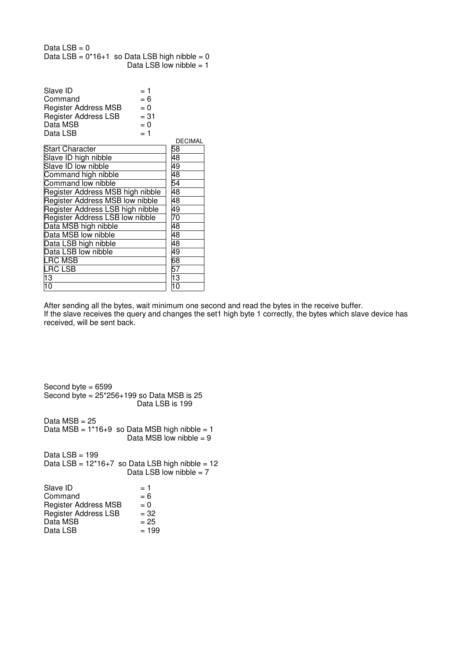| Data LSB = $0$ |                                                 |
|----------------|-------------------------------------------------|
|                | Data LSB = $0*16+1$ so Data LSB high nibble = 0 |
|                | Data LSB low nibble $= 1$                       |

| Slave ID                    | $= 1$  |
|-----------------------------|--------|
| Command                     | $= 6$  |
| <b>Register Address MSB</b> | $= 0$  |
| <b>Register Address LSB</b> | $= 31$ |
| Data MSB                    | $= 0$  |
| Data LSB                    | $= 1$  |

|                                  | <b>DECIMAL</b> |
|----------------------------------|----------------|
| <b>Start Character</b>           | 58             |
| Slave ID high nibble             | 48             |
| Slave ID low nibble              | 49             |
| Command high nibble              | 48             |
| Command low nibble               | 54             |
| Register Address MSB high nibble | 48             |
| Register Address MSB low nibble  | 48             |
| Register Address LSB high nibble | 49             |
| Register Address LSB low nibble  | 70             |
| Data MSB high nibble             | 48             |
| Data MSB low nibble              | 48             |
| Data LSB high nibble             | 48             |
| Data LSB low nibble              | 49             |
| <b>LRC MSB</b>                   | 68             |
| <b>LRC LSB</b>                   | 57             |
| 13                               | 13             |
| 10                               | 10             |

After sending all the bytes, wait minimum one second and read the bytes in the receive buffer. If the slave receives the query and changes the set1 high byte 1 correctly, the bytes which slave device has received, will be sent back.

Second byte = 6599 Second byte =  $25*256+199$  so Data MSB is  $25$  Data LSB is 199 Data  $MSB = 25$ Data  $MSB = 1*16+9$  so Data MSB high nibble = 1 Data MSB low nibble  $= 9$ Data  $LSB = 199$ Data  $LSB = 12*16+7$  so Data LSB high nibble = 12 Data LSB low nibble  $= 7$ Slave ID  $= 1$ <br>Command  $= 6$ Command  $= 6$ <br>Register Address MSB  $= 0$ Register Address MSB  $= 0$ <br>Register Address LSB  $= 32$ Register Address LSB  $= 32$ <br>Data MSB  $= 25$  $Data MSB = 25$ <br>Data LSB  $= 199$ Data LSB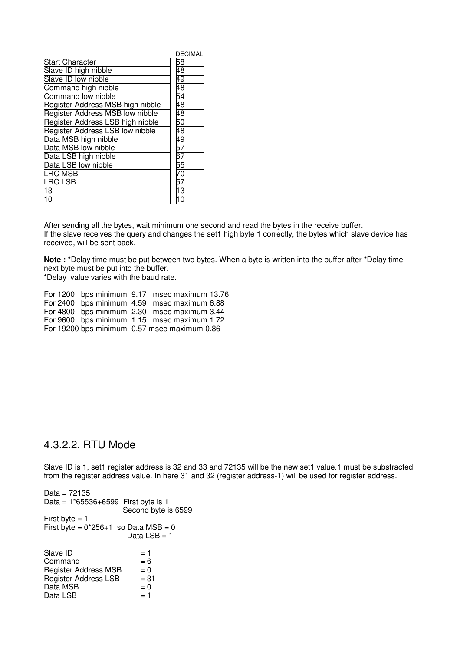|                                  | <b>DECIMAL</b>  |
|----------------------------------|-----------------|
| <b>Start Character</b>           | 58              |
| Slave ID high nibble             | 48              |
| Slave ID low nibble              | 49              |
| Command high nibble              | 48              |
| Command low nibble               | $\overline{54}$ |
| Register Address MSB high nibble | 48              |
| Register Address MSB low nibble  | 48              |
| Register Address LSB high nibble | 50              |
| Register Address LSB low nibble  | 48              |
| Data MSB high nibble             | 49              |
| Data MSB low nibble              | 57              |
| Data LSB high nibble             | 67              |
| Data LSB low nibble              | 55              |
| <b>LRC MSB</b>                   | 70              |
| LRC LSB                          | 57              |
| 13                               | $\overline{13}$ |
| 10                               | 10              |

After sending all the bytes, wait minimum one second and read the bytes in the receive buffer. If the slave receives the query and changes the set1 high byte 1 correctly, the bytes which slave device has received, will be sent back.

**Note :** \*Delay time must be put between two bytes. When a byte is written into the buffer after \*Delay time next byte must be put into the buffer.

\*Delay value varies with the baud rate.

For 1200 bps minimum 9.17 msec maximum 13.76 For 2400 bps minimum 4.59 msec maximum 6.88 For 4800 bps minimum 2.30 msec maximum 3.44 For 9600 bps minimum 1.15 msec maximum 1.72 For 19200 bps minimum 0.57 msec maximum 0.86

### 4.3.2.2. RTU Mode

Slave ID is 1, set1 register address is 32 and 33 and 72135 will be the new set1 value.1 must be substracted from the register address value. In here 31 and 32 (register address-1) will be used for register address.

| Data = 72135                           |                     |
|----------------------------------------|---------------------|
| Data = 1*65536+6599 First byte is 1    |                     |
|                                        | Second byte is 6599 |
| First byte $=$ 1                       |                     |
| First byte = $0*256+1$ so Data MSB = 0 |                     |
|                                        | Data LSB = 1        |
| Slave ID                               | = 1                 |
| Command                                | $= 6$               |
| <b>Register Address MSB</b>            | $= 0$               |
| <b>Register Address LSB</b>            | $= 31$              |
| Data MSB                               | $= 0$               |
| Data LSB                               | = 1                 |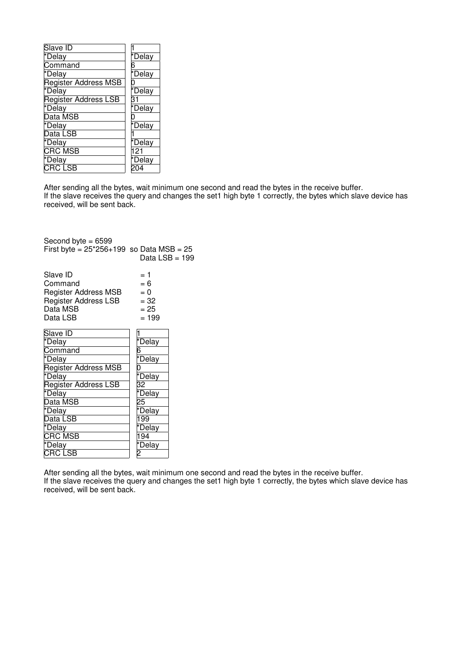| Slave ID                    |              |
|-----------------------------|--------------|
| *Delay                      | *Delay       |
| Command                     | 6            |
| *Delay                      | *Delay       |
| <b>Register Address MSB</b> | 0            |
| *Delay                      | *Delay       |
| <b>Register Address LSB</b> | 31           |
| *Delay                      | <b>Delay</b> |
| Data MSB                    | 0            |
| *Delay                      | *Delay       |
| Data LSB                    |              |
| *Delay                      | *Delay       |
| <b>CRC MSB</b>              | 121          |
| *Delay                      | *Delay       |
| <b>CRC LSB</b>              |              |
|                             |              |

After sending all the bytes, wait minimum one second and read the bytes in the receive buffer. If the slave receives the query and changes the set1 high byte 1 correctly, the bytes which slave device has received, will be sent back.

| Second byte $= 6599$                                                                               |                                                    |  |
|----------------------------------------------------------------------------------------------------|----------------------------------------------------|--|
| First byte = $25*256+199$ so Data MSB = $25$                                                       | Data LSB = 199                                     |  |
| Slave ID<br>Command<br><b>Register Address MSB</b><br>Register Address LSB<br>Data MSB<br>Data LSB | = 1<br>$= 6$<br>$= 0$<br>$= 32$<br>$= 25$<br>= 199 |  |
| Slave ID                                                                                           | 1                                                  |  |
| *Delay                                                                                             | *Delay                                             |  |
| Command                                                                                            | 6                                                  |  |
| *Delay                                                                                             | *Delay                                             |  |
| <b>Register Address MSB</b>                                                                        | 0                                                  |  |
| *Delay                                                                                             | *Delay                                             |  |
| <b>Register Address LSB</b>                                                                        | 32                                                 |  |
| *Delay                                                                                             | *Delay                                             |  |
| Data MSB                                                                                           | 25                                                 |  |
| *Delay                                                                                             | *Delay                                             |  |
| Data LSB                                                                                           | 199                                                |  |
| *Delay                                                                                             | *Delay                                             |  |
| <b>CRC MSB</b>                                                                                     | 194                                                |  |
| *Delay                                                                                             | *Delay                                             |  |
| <b>CRC LSB</b>                                                                                     | 2                                                  |  |

After sending all the bytes, wait minimum one second and read the bytes in the receive buffer. If the slave receives the query and changes the set1 high byte 1 correctly, the bytes which slave device has received, will be sent back.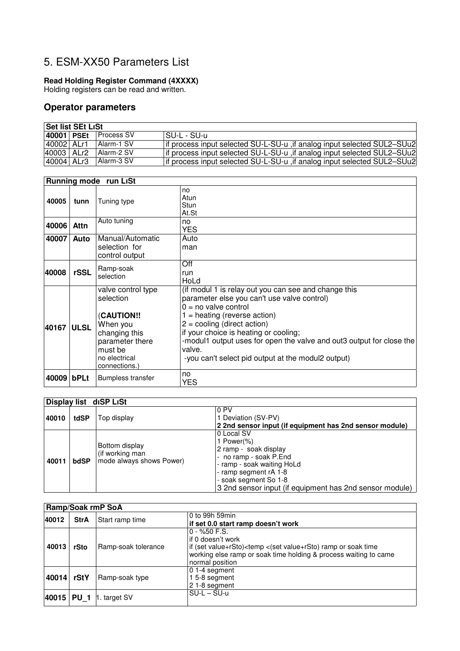## 5. ESM-XX50 Parameters List

#### **Read Holding Register Command (4XXXX)**

Holding registers can be read and written.

#### **Operator parameters**

| <b>Set list SEt LiSt</b> |  |            |                                                                          |
|--------------------------|--|------------|--------------------------------------------------------------------------|
| 40001 PSEt               |  | Process SV | ISU-L - SU-u                                                             |
| 40002 ALr1               |  | Alarm-1 SV | if process input selected SU-L-SU-u , if analog input selected SUL2-SUu2 |
| 40003 ALr2               |  | Alarm-2 SV | if process input selected SU-L-SU-u , if analog input selected SUL2-SUu2 |
| 40004 ALr3               |  | Alarm-3 SV | if process input selected SU-L-SU-u , if analog input selected SUL2-SUu2 |

|       | <b>Running mode run LiSt</b> |                                                                                                                                                  |                                                                                                                                                                                                                                                                                                                                                                                   |  |
|-------|------------------------------|--------------------------------------------------------------------------------------------------------------------------------------------------|-----------------------------------------------------------------------------------------------------------------------------------------------------------------------------------------------------------------------------------------------------------------------------------------------------------------------------------------------------------------------------------|--|
| 40005 | tunn                         | Tuning type                                                                                                                                      | no<br>Atun<br><b>Stun</b><br>At.St                                                                                                                                                                                                                                                                                                                                                |  |
| 40006 | Attn                         | Auto tuning                                                                                                                                      | no<br><b>YES</b>                                                                                                                                                                                                                                                                                                                                                                  |  |
| 40007 | Auto                         | Manual/Automatic<br>selection for<br>control output                                                                                              | Auto<br>man                                                                                                                                                                                                                                                                                                                                                                       |  |
| 40008 | rSSL                         | Ramp-soak<br>selection                                                                                                                           | Off<br>run<br>HoLd                                                                                                                                                                                                                                                                                                                                                                |  |
| 40167 | <b>ULSL</b>                  | valve control type<br>selection<br><b>CAUTION!!</b><br>When you<br>changing this<br>parameter there<br>must be<br>no electrical<br>connections.) | (if modul 1 is relay out you can see and change this<br>parameter else you can't use valve control)<br>$0 = no$ valve control<br>$1 =$ heating (reverse action)<br>$2 =$ cooling (direct action)<br>if your choice is heating or cooling;<br>-modul1 output uses for open the valve and out3 output for close the<br>valve.<br>-you can't select pid output at the modul2 output) |  |
| 40009 | bPLt                         | <b>Bumpless transfer</b>                                                                                                                         | no<br><b>YES</b>                                                                                                                                                                                                                                                                                                                                                                  |  |

|       |      | Display list diSP LiSt                                        |                                                                                                                                                                                                                            |
|-------|------|---------------------------------------------------------------|----------------------------------------------------------------------------------------------------------------------------------------------------------------------------------------------------------------------------|
| 40010 | tdSP | Top display                                                   | 0 PV<br>1 Deviation (SV-PV)<br>2 2nd sensor input (if equipment has 2nd sensor module)                                                                                                                                     |
| 40011 | bdSP | Bottom display<br>(if working man<br>mode always shows Power) | 0 Local SV<br>1 Power $(\%)$<br>2 ramp - soak display<br>- no ramp - soak P.End<br>- ramp - soak waiting HoLd<br>- ramp segment rA 1-8<br>- soak segment So 1-8<br>3 2nd sensor input (if equipment has 2nd sensor module) |

|       | <b>Ramp/Soak rmP SoA</b> |                        |                                                                                                                                                                                                                               |  |
|-------|--------------------------|------------------------|-------------------------------------------------------------------------------------------------------------------------------------------------------------------------------------------------------------------------------|--|
| 40012 | <b>StrA</b>              | Start ramp time        | 0 to 99h 59min<br>if set 0.0 start ramp doesn't work                                                                                                                                                                          |  |
| 40013 | rSto                     | Ramp-soak tolerance    | $0 - %50$ F.S.<br>if 0 doesn't work<br>if (set value+rSto) <temp (set="" <="" or="" ramp="" soak="" time<br="" value+rsto)="">working else ramp or soak time holding &amp; process waiting to came<br/>normal position</temp> |  |
| 40014 | rStY                     | Ramp-soak type         | 0 1-4 segment<br>15-8 segment<br>21-8 segment                                                                                                                                                                                 |  |
| 40015 | <b>PU 1</b>              | $\uparrow$ . target SV | $SU-L-SU-u$                                                                                                                                                                                                                   |  |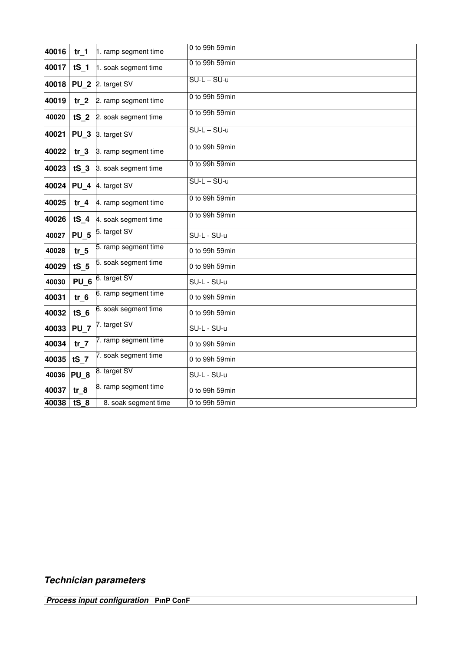| 40016 | tr <sub>1</sub> | 1. ramp segment time      | 0 to 99h 59min |
|-------|-----------------|---------------------------|----------------|
| 40017 | $tS_1$          | 1. soak segment time      | 0 to 99h 59min |
| 40018 | <b>PU 2</b>     | 2. target SV              | $SU-L-SU-u$    |
| 40019 | tr <sub>2</sub> | 2. ramp segment time      | 0 to 99h 59min |
| 40020 | tS <sub>2</sub> | 2. soak segment time      | 0 to 99h 59min |
| 40021 |                 | PU 3 3. target SV         | $SU-L-SU-u$    |
| 40022 | tr <sub>3</sub> | 3. ramp segment time      | 0 to 99h 59min |
| 40023 |                 | tS 3 3. soak segment time | 0 to 99h 59min |
| 40024 |                 | PU 4 4. target SV         | $SU-L-SU-u$    |
| 40025 | tr <sub>4</sub> | 4. ramp segment time      | 0 to 99h 59min |
| 40026 | $tS$ 4          | 4. soak segment time      | 0 to 99h 59min |
| 40027 | <b>PU 5</b>     | 5. target SV              | SU-L - SU-u    |
| 40028 | $tr_5$          | 5. ramp segment time      | 0 to 99h 59min |
| 40029 | tS <sub>5</sub> | 5. soak segment time      | 0 to 99h 59min |
| 40030 | PU <sub>6</sub> | 6. target SV              | SU-L - SU-u    |
| 40031 | $tr_6$          | 6. ramp segment time      | 0 to 99h 59min |
| 40032 | tS <sub>6</sub> | 6. soak segment time      | 0 to 99h 59min |
| 40033 | <b>PU 7</b>     | 7. target SV              | SU-L - SU-u    |
| 40034 | tr <sub>7</sub> | 7. ramp segment time      | 0 to 99h 59min |
| 40035 | $tS$ 7          | 7. soak segment time      | 0 to 99h 59min |
| 40036 | PU <sub>8</sub> | 8. target SV              | SU-L - SU-u    |
| 40037 | $tr_8$          | 8. ramp segment time      | 0 to 99h 59min |
| 40038 | $tS_8$          | 8. soak segment time      | 0 to 99h 59min |

### **Technician parameters**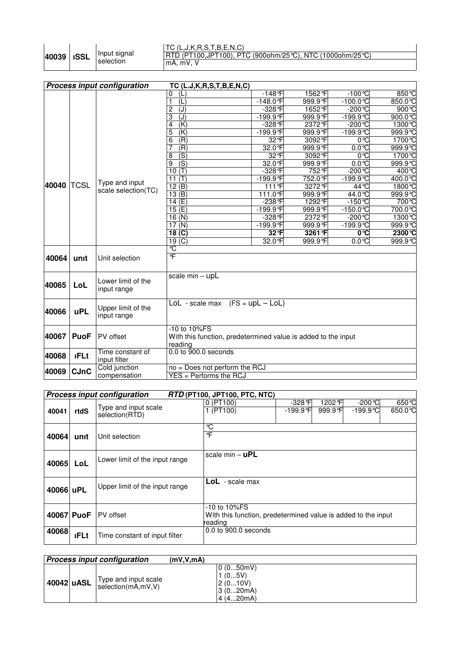| 40039   ISSL | Input signal<br>selection |
|--------------|---------------------------|
|--------------|---------------------------|

#### TC (L,J,K,R,S,T,B,E,N,C) RTD (PT100,JPT100), PTC (900ohm/25°C), NTC (1000ohm/25°C) mA, mV, V

|                                                                               | <b>Process input configuration</b><br>TC (L.J,K,R,S,T,B,E,N,C) |                     |                                    |                         |         |                    |               |
|-------------------------------------------------------------------------------|----------------------------------------------------------------|---------------------|------------------------------------|-------------------------|---------|--------------------|---------------|
|                                                                               |                                                                |                     | 0<br>(L)                           | $-148$ <sup>°</sup> F   | 1562°F  | $-100^{\circ}C$    | 850 °C        |
|                                                                               |                                                                |                     | 1<br>(L)                           | $-148.0$ °F             | 999.9°F | $-100.0$ °C        | 850.0℃        |
|                                                                               |                                                                |                     | $\overline{c}$<br>(J)              | $-328$ <sup>°</sup> F   | 1652 F  | $-200^{\circ}C$    | $900^\circ C$ |
|                                                                               |                                                                |                     | 3<br>(J)                           | -199.9°F                | 999.9 F | $-199.9^{\circ}C$  | $900.0$ °C    |
|                                                                               |                                                                |                     | (K)<br>4                           | -328 °F                 | 2372 °F | $-200$ °C          | 1300℃         |
|                                                                               |                                                                |                     | 5<br>$\overline{(\mathsf{K})}$     | -199.9 °F               | 999.9°F | $-199.9^{\circ}$ C | 999.9 °C      |
|                                                                               |                                                                |                     | $\overline{(\mathsf{R})}$<br>6     | 32 °F                   | 3092 F  | $0^{\circ}C$       | 1700℃         |
|                                                                               |                                                                |                     | 7<br>(R)                           | 32.0 °F                 | 999.9°F | $0.0^{\circ}C$     | 999.9 °C      |
|                                                                               |                                                                |                     | $\overline{\text{(S)}}$<br>8       |                         | 3092 °F | 0°C                | 1700 ℃        |
|                                                                               |                                                                |                     | $\overline{\text{(S)}}$<br>9       | 32.0 F                  | 999.9°F | $0.0^{\circ}C$     | 999.9°C       |
|                                                                               |                                                                |                     | 10(T)                              | -328 F                  | 752F    | $-200^{\circ}C$    | 400 °C        |
|                                                                               |                                                                | Type and input      | 11 $(T)$                           | $-199.9$ F              | 752.0 F | $-199.9^{\circ}C$  | 400.0℃        |
| 40040                                                                         | <b>TCSL</b>                                                    | scale selection(TC) | 12(B)                              | 111 F                   | 3272 F  | 44 °C              | 1800℃         |
|                                                                               |                                                                |                     | 13(B)                              | 111.0 °F                | 999.9°F | 44.0 ℃             | 999.9 °C      |
|                                                                               |                                                                |                     | 14(E)                              | $-238$ <sup>o</sup> F   | 1292 °F | $-150^{\circ}$ C   | 700 °C        |
|                                                                               |                                                                |                     | 15(E)                              | $-199.9$ <sup>°</sup> F | 999.9 F | $-150.0$ °C        | 700.0℃        |
|                                                                               |                                                                |                     | 16(N)                              | $-328$ °F               | 2372 °F | -200℃              | 1300 ℃        |
|                                                                               |                                                                |                     | 17 $(N)$                           | -199.9 °F               | 999.9°F | $-199.9^\circ$ C   | 999.9 °C      |
|                                                                               |                                                                |                     | 18 <sub>(C)</sub>                  | 32 °F                   | 3261 °F | 0°C                | 2300 ℃        |
|                                                                               |                                                                |                     | 19 $(C)$                           | 32.0 °F                 | 999.9°F | $0.0^\circ C$      | 999.9°C       |
|                                                                               |                                                                |                     | $\overline{C}$                     |                         |         |                    |               |
| 40064                                                                         | unit                                                           | Unit selection      | °F                                 |                         |         |                    |               |
|                                                                               |                                                                |                     |                                    |                         |         |                    |               |
|                                                                               |                                                                |                     | scale min - upL                    |                         |         |                    |               |
| 40065                                                                         | LoL                                                            | Lower limit of the  |                                    |                         |         |                    |               |
|                                                                               |                                                                | input range         |                                    |                         |         |                    |               |
|                                                                               |                                                                |                     | LoL - scale max $(FS = upL - LoL)$ |                         |         |                    |               |
| 40066                                                                         | <b>uPL</b>                                                     | Upper limit of the  |                                    |                         |         |                    |               |
|                                                                               |                                                                | input range         |                                    |                         |         |                    |               |
|                                                                               |                                                                |                     |                                    |                         |         |                    |               |
| -10 to 10%FS<br>With this function, predetermined value is added to the input |                                                                |                     |                                    |                         |         |                    |               |
| 40067<br><b>PuoF</b><br>PV offset                                             |                                                                |                     |                                    |                         |         |                    |               |
|                                                                               |                                                                | Time constant of    | reading<br>0.0 to 900.0 seconds    |                         |         |                    |               |
| 40068                                                                         | <b>IFLt</b>                                                    | input filter        |                                    |                         |         |                    |               |
|                                                                               |                                                                | Cold junction       | no = Does not perform the RCJ      |                         |         |                    |               |
| 40069                                                                         | <b>CJnC</b>                                                    |                     |                                    |                         |         |                    |               |
|                                                                               | compensation<br>$YES = Performs$ the RCJ                       |                     |                                    |                         |         |                    |               |

|           |             | <b>Process input configuration</b>     | <b>RTD (PT100, JPT100, PTC, NTC)</b>                                                           |                       |                    |                    |                             |
|-----------|-------------|----------------------------------------|------------------------------------------------------------------------------------------------|-----------------------|--------------------|--------------------|-----------------------------|
| 40041     | rtdS        | Type and input scale<br>selection(RTD) | $0$ (PT100)<br>1 (PT100)                                                                       | $-328$ °F<br>-199.9°F | 1202 °F<br>999.9 F | -200 °C<br>-199.9℃ | 650 °C<br>$650.0^{\circ}$ C |
| 40064     | unit        | Unit selection                         | ℃<br>°F                                                                                        |                       |                    |                    |                             |
| 40065     | LoL         | Lower limit of the input range         | scale min $-$ uPL                                                                              |                       |                    |                    |                             |
| 40066 uPL |             | Upper limit of the input range         | LoL - scale max                                                                                |                       |                    |                    |                             |
|           | 40067 PuoF  | PV offset                              | $-10$ to $10\%$ FS<br>With this function, predetermined value is added to the input<br>reading |                       |                    |                    |                             |
| 40068     | <b>IFLt</b> | Time constant of input filter          | 0.0 to 900.0 seconds                                                                           |                       |                    |                    |                             |

| <b>Process input configuration</b> |                                            | (mV,V,mA) |                                                         |
|------------------------------------|--------------------------------------------|-----------|---------------------------------------------------------|
| 40042 uASL                         | Type and input scale<br>selection(mA,mV,V) |           | 0(050mV)<br>1(05V)<br>12(010V)<br>3 (020mA)<br>4(420mA) |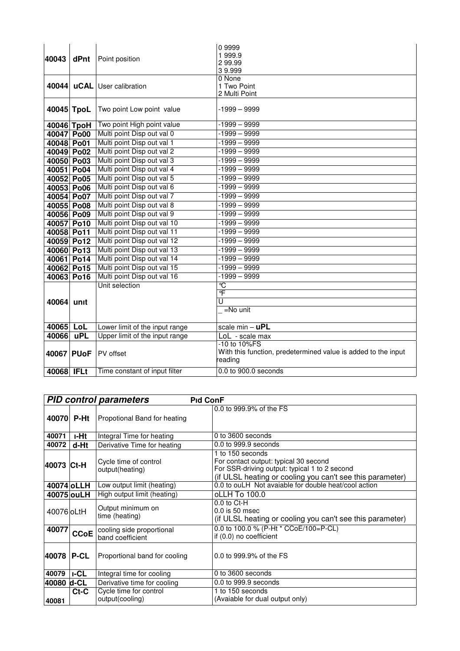| 40043      | dPnt       | Point position                 | 09999<br>1999.9<br>299.99<br>39.999                                                      |
|------------|------------|--------------------------------|------------------------------------------------------------------------------------------|
| 40044      |            | <b>uCAL</b> User calibration   | 0 None<br>1 Two Point<br>2 Multi Point                                                   |
| 40045 TpoL |            | Two point Low point value      | $-1999 - 9999$                                                                           |
| 40046 TpoH |            | Two point High point value     | $-1999 - 9999$                                                                           |
| 40047 Po00 |            | Multi point Disp out val 0     | $-1999 - 9999$                                                                           |
| 40048 Po01 |            | Multi point Disp out val 1     | $-1999 - 9999$                                                                           |
| 40049 Po02 |            | Multi point Disp out val 2     | $-1999 - 9999$                                                                           |
| 40050 Po03 |            | Multi point Disp out val 3     | $-1999 - 9999$                                                                           |
| 40051 Po04 |            | Multi point Disp out val 4     | $-1999 - 9999$                                                                           |
| 40052 Po05 |            | Multi point Disp out val 5     | $-1999 - 9999$                                                                           |
| 40053 Po06 |            | Multi point Disp out val 6     | $-1999 - 9999$                                                                           |
| 40054 Po07 |            | Multi point Disp out val 7     | $-1999 - 9999$                                                                           |
| 40055 Po08 |            | Multi point Disp out val 8     | $-1999 - 9999$                                                                           |
| 40056 Po09 |            | Multi point Disp out val 9     | $-1999 - 9999$                                                                           |
| 40057 Po10 |            | Multi point Disp out val 10    | $-1999 - 9999$                                                                           |
| 40058 Po11 |            | Multi point Disp out val 11    | $-1999 - 9999$                                                                           |
| 40059 Po12 |            | Multi point Disp out val 12    | $-1999 - 9999$                                                                           |
| 40060 Po13 |            | Multi point Disp out val 13    | $-1999 - 9999$                                                                           |
| 40061 Po14 |            | Multi point Disp out val 14    | $-1999 - 9999$                                                                           |
| 40062 Po15 |            | Multi point Disp out val 15    | $-1999 - 9999$                                                                           |
| 40063 Po16 |            | Multi point Disp out val 16    | $-1999 - 9999$                                                                           |
|            |            | Unit selection                 | $\overline{C}$                                                                           |
|            |            |                                | °F<br>$\overline{\mathtt{U}}$                                                            |
| 40064      | unit       |                                | $=$ No unit                                                                              |
|            |            |                                |                                                                                          |
| 40065      | LoL        | Lower limit of the input range | scale $min - uPL$                                                                        |
| 40066      | <b>uPL</b> | Upper limit of the input range | LoL - scale max                                                                          |
| 40067 PUoF |            | PV offset                      | -10 to 10%FS<br>With this function, predetermined value is added to the input<br>reading |
| 40068      | TFLt       | Time constant of input filter  | 0.0 to 900.0 seconds                                                                     |

|                                                                        |                                                              | <b>PID control parameters</b><br><b>Pid ConF</b>                                   |                                                                                                                                                                         |
|------------------------------------------------------------------------|--------------------------------------------------------------|------------------------------------------------------------------------------------|-------------------------------------------------------------------------------------------------------------------------------------------------------------------------|
|                                                                        | 40070 P-Ht                                                   | Propotional Band for heating                                                       | 0.0 to 999.9% of the FS                                                                                                                                                 |
| 40071                                                                  | <b>I-Ht</b>                                                  | Integral Time for heating                                                          | 0 to 3600 seconds                                                                                                                                                       |
| 40072                                                                  | d-Ht                                                         | Derivative Time for heating                                                        | 0.0 to 999.9 seconds                                                                                                                                                    |
| 40073 Ct-H                                                             |                                                              | Cycle time of control<br>output(heating)                                           | 1 to 150 seconds<br>For contact output: typical 30 second<br>For SSR-driving output: typical 1 to 2 second<br>(if ULSL heating or cooling you can't see this parameter) |
|                                                                        | 40074 oLLH                                                   | 0.0 to ouLH Not avaiable for double heat/cool action<br>Low output limit (heating) |                                                                                                                                                                         |
|                                                                        | 40075 ou LH                                                  | High output limit (heating)                                                        | oLLH To 100.0                                                                                                                                                           |
| 40076 oLtH                                                             |                                                              | Output minimum on<br>time (heating)                                                | $0.0$ to $Ct-H$<br>$0.0$ is 50 msec<br>(if ULSL heating or cooling you can't see this parameter)                                                                        |
| 40077                                                                  | cooling side proportional<br><b>CCoE</b><br>band coefficient |                                                                                    | 0.0 to 100.0 % (P-Ht * CCoE/100=P-CL)<br>if (0.0) no coefficient                                                                                                        |
| 40078                                                                  | <b>P-CL</b><br>Proportional band for cooling                 |                                                                                    | 0.0 to 999.9% of the FS                                                                                                                                                 |
| 0 to 3600 seconds<br><b>I-CL</b><br>40079<br>Integral time for cooling |                                                              |                                                                                    |                                                                                                                                                                         |
| 40080                                                                  | d-CL                                                         | Derivative time for cooling                                                        | 0.0 to 999.9 seconds                                                                                                                                                    |
| 40081                                                                  | $Ct-C$                                                       | Cycle time for control<br>output(cooling)                                          | 1 to 150 seconds<br>(Avaiable for dual output only)                                                                                                                     |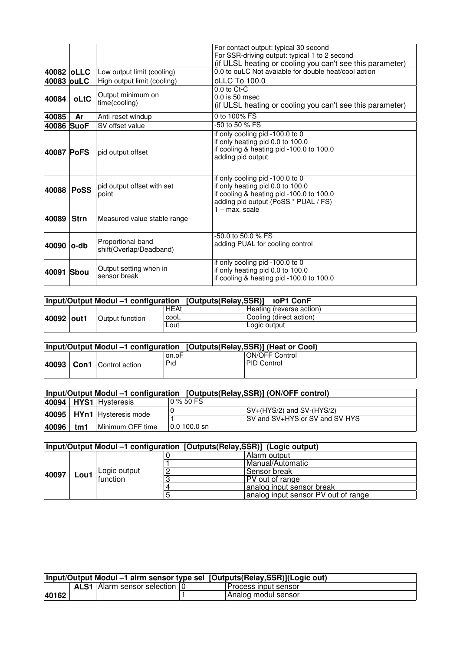|                                                                                                                                                                                   |             |                                    | For contact output: typical 30 second<br>For SSR-driving output: typical 1 to 2 second<br>(if ULSL heating or cooling you can't see this parameter)     |  |
|-----------------------------------------------------------------------------------------------------------------------------------------------------------------------------------|-------------|------------------------------------|---------------------------------------------------------------------------------------------------------------------------------------------------------|--|
|                                                                                                                                                                                   | 40082 oLLC  | Low output limit (cooling)         | 0.0 to ouLC Not avaiable for double heat/cool action                                                                                                    |  |
| 40083 ouLC                                                                                                                                                                        |             | High output limit (cooling)        | oLLC To 100.0                                                                                                                                           |  |
| 40084                                                                                                                                                                             | oLtC        | Output minimum on<br>time(cooling) | $0.0$ to $Ct$ - $C$<br>$0.0$ is 50 msec<br>(if ULSL heating or cooling you can't see this parameter)                                                    |  |
| 40085                                                                                                                                                                             | Ar          | Anti-reset windup                  | 0 to 100% FS                                                                                                                                            |  |
| 40086 SuoF                                                                                                                                                                        |             | -50 to 50 % FS<br>SV offset value  |                                                                                                                                                         |  |
| 40087 PoFS                                                                                                                                                                        |             | pid output offset                  | if only cooling pid -100.0 to 0<br>if only heating pid 0.0 to 100.0<br>if cooling & heating pid -100.0 to 100.0<br>adding pid output                    |  |
| pid output offset with set<br>40088<br><b>PoSS</b><br>point                                                                                                                       |             |                                    | if only cooling pid -100.0 to 0<br>if only heating pid 0.0 to 100.0<br>if cooling & heating pid -100.0 to 100.0<br>adding pid output (PoSS * PUAL / FS) |  |
| 40089                                                                                                                                                                             | <b>Strn</b> | Measured value stable range        | 1 - max. scale                                                                                                                                          |  |
| $-50.0$ to 50.0 % FS<br>Proportional band<br>adding PUAL for cooling control<br>40090  o-db<br>shift(Overlap/Deadband)                                                            |             |                                    |                                                                                                                                                         |  |
| if only cooling pid -100.0 to 0<br>Output setting when in<br>if only heating pid 0.0 to 100.0<br><b>Sbou</b><br>40091<br>sensor break<br>if cooling & heating pid -100.0 to 100.0 |             |                                    |                                                                                                                                                         |  |

| Input/Output Modul -1 configuration [Outputs(Relay,SSR)] |  |                         |             | <b>IOP1 ConF</b>         |
|----------------------------------------------------------|--|-------------------------|-------------|--------------------------|
|                                                          |  |                         | <b>HEAt</b> | Heating (reverse action) |
| 40092 out1                                               |  | Output function<br>Lout | cooL        | Cooling (direct action)  |
|                                                          |  |                         |             | Logic output             |

| Input/Output Modul –1 configuration [Outputs(Relay,SSR)] (Heat or Cool) |                               |       |                       |  |
|-------------------------------------------------------------------------|-------------------------------|-------|-----------------------|--|
|                                                                         |                               | on.oF | <b>ON/OFF Control</b> |  |
|                                                                         | 40093   Con1   Control action | Pid   | <b>PID Control</b>    |  |
|                                                                         |                               |       |                       |  |

|       | Input/Output Modul –1 configuration [Outputs(Relay,SSR)] (ON/OFF control) |                                |                         |                                |  |  |
|-------|---------------------------------------------------------------------------|--------------------------------|-------------------------|--------------------------------|--|--|
|       |                                                                           | 40094   HYS1   Hysteresis      | $0\%50FS$               |                                |  |  |
|       |                                                                           | 40095   HYn1   Hysteresis mode |                         | SV+(HYS/2) and SV-(HYS/2)      |  |  |
|       |                                                                           |                                |                         | SV and SV+HYS or SV and SV-HYS |  |  |
| 40096 | tm1                                                                       | Minimum OFF time               | $ 0.0100.0 \text{ sn} $ |                                |  |  |

| Input/Output Modul -1 configuration [Outputs(Relay, SSR)] (Logic output) |      |                          |  |                                     |  |
|--------------------------------------------------------------------------|------|--------------------------|--|-------------------------------------|--|
|                                                                          |      | Logic output<br>function |  | Alarm output                        |  |
|                                                                          |      |                          |  | Manual/Automatic                    |  |
| 40097                                                                    | Lou1 |                          |  | Sensor break                        |  |
|                                                                          |      |                          |  | PV out of range                     |  |
|                                                                          |      |                          |  | analog input sensor break           |  |
|                                                                          |      |                          |  | analog input sensor PV out of range |  |

| Input/Output Modul –1 alrm sensor type sel [Outputs(Relay,SSR)](Logic out) |  |                                        |  |                      |  |
|----------------------------------------------------------------------------|--|----------------------------------------|--|----------------------|--|
|                                                                            |  | <b>ALS1</b> Alarm sensor selection   0 |  | Process input sensor |  |
| 40162                                                                      |  |                                        |  | Analog modul sensor  |  |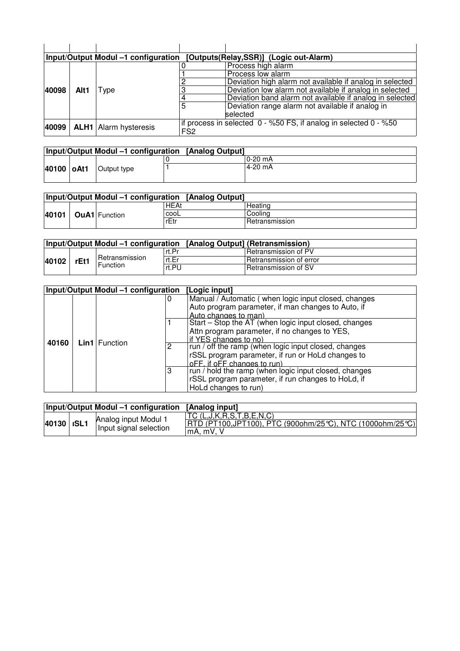|       | Input/Output Modul -1 configuration<br>[Outputs(Relay,SSR)] (Logic out-Alarm) |                              |                                                                                     |                                                          |  |  |  |
|-------|-------------------------------------------------------------------------------|------------------------------|-------------------------------------------------------------------------------------|----------------------------------------------------------|--|--|--|
|       |                                                                               |                              |                                                                                     | Process high alarm                                       |  |  |  |
|       |                                                                               |                              |                                                                                     | Process low alarm                                        |  |  |  |
|       |                                                                               |                              |                                                                                     | Deviation high alarm not available if analog in selected |  |  |  |
| 40098 | Alt1                                                                          | Type                         |                                                                                     | Deviation low alarm not available if analog in selected  |  |  |  |
|       |                                                                               |                              |                                                                                     | Deviation band alarm not available if analog in selected |  |  |  |
|       |                                                                               |                              | 5                                                                                   | Deviation range alarm not available if analog in         |  |  |  |
|       |                                                                               |                              |                                                                                     | selected                                                 |  |  |  |
| 40099 |                                                                               | <b>ALH1</b> Alarm hysteresis | if process in selected 0 - %50 FS, if analog in selected 0 - %50<br>FS <sub>2</sub> |                                                          |  |  |  |

|            |             | <b>Input/Output Modul -1 configuration [Analog Output]</b> |           |
|------------|-------------|------------------------------------------------------------|-----------|
|            |             |                                                            | $0-20$ mA |
| 40100 oAt1 | Output type |                                                            | 4-20 mA   |

|       |  |                      | Input/Output Modul -1 configuration [Analog Output] |                |
|-------|--|----------------------|-----------------------------------------------------|----------------|
|       |  |                      | <b>HEAt</b>                                         | Heating        |
| 40101 |  | <b>OuA1</b> Function | cooL                                                | Coolina        |
|       |  |                      | rEtr                                                | Retransmission |

| Input/Output Modul -1 configuration [Analog Output] (Retransmission) |      |                                   |       |                             |
|----------------------------------------------------------------------|------|-----------------------------------|-------|-----------------------------|
| 40102                                                                |      | Retransmission<br><b>Function</b> | rt.Pr | Retransmission of PV        |
|                                                                      | rEt1 |                                   | rt.Er | ⊧Retransmission of error    |
|                                                                      |      |                                   | rt.PU | <b>Retransmission of SV</b> |

| Input/Output Modul -1 configuration |  |                           |   | [Logic input]                                         |  |  |
|-------------------------------------|--|---------------------------|---|-------------------------------------------------------|--|--|
|                                     |  |                           | U | Manual / Automatic (when logic input closed, changes  |  |  |
|                                     |  |                           |   | Auto program parameter, if man changes to Auto, if    |  |  |
|                                     |  |                           |   | Auto changes to man)                                  |  |  |
|                                     |  |                           |   | Start - Stop the AT (when logic input closed, changes |  |  |
|                                     |  | <b>Lin1</b> Function<br>2 |   | Attn program parameter, if no changes to YES,         |  |  |
| 40160                               |  |                           |   | if YES changes to no)                                 |  |  |
|                                     |  |                           |   | run / off the ramp (when logic input closed, changes  |  |  |
|                                     |  |                           |   | rSSL program parameter, if run or HoLd changes to     |  |  |
|                                     |  |                           |   | oFF, if oFF changes to run)                           |  |  |
|                                     |  |                           | 3 | run / hold the ramp (when logic input closed, changes |  |  |
|                                     |  |                           |   | rSSL program parameter, if run changes to HoLd, if    |  |  |
|                                     |  |                           |   | HoLd changes to run)                                  |  |  |

|            | Input/Output Modul -1 configuration [Analog input] |                                                                                                   |
|------------|----------------------------------------------------|---------------------------------------------------------------------------------------------------|
| 40130 ISL1 | Analog input Modul 1<br>Input signal selection     | TC(L,J,K,R,S,T,B,E,N,C)<br>RTD (PT100,JPT100), PTC (900ohm/25℃), NTC (1000ohm/25℃)<br>$mA.$ mV. V |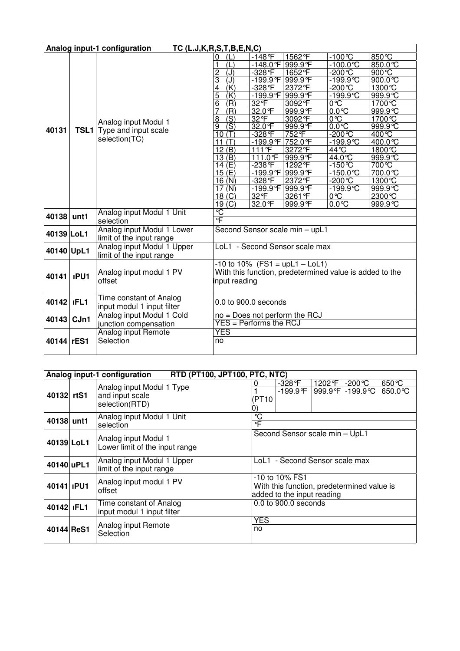|            | Analog input-1 configuration<br>TC (L.J,K,R,S,T,B,E,N,C) |                            |                                                         |                             |                                 |                         |                      |  |
|------------|----------------------------------------------------------|----------------------------|---------------------------------------------------------|-----------------------------|---------------------------------|-------------------------|----------------------|--|
|            |                                                          |                            | Œ<br>0                                                  | $-148$ <sup>°</sup> F       | 1562°F                          | $-100^{\circ}C$         | 850℃                 |  |
|            |                                                          |                            | (L)<br>1                                                | <u>-148.0</u> °F            | 999.9°F                         | $-100.0^{\circ}C$       | 850.0 °C             |  |
|            |                                                          |                            | $\overline{J}$<br>$\overline{c}$                        | -328°F                      | 1652°F                          | $-200$ °C               | 900 °C               |  |
|            |                                                          |                            | (J)<br>3                                                | $-199.9$ <sup>°</sup> F     | 999.9°F                         | $-199.9^{\circ}C$       | 900.0°C              |  |
| 40131      |                                                          |                            | $\overline{(\mathsf{K})}$<br>4                          | -328°F                      | 2372 °F                         | $-200^{\circ}C$         | 1300 ℃               |  |
|            |                                                          |                            | $\overline{5}$<br>(K)                                   | $-199.9$ <sup>F</sup>       | 999.9°F                         | $-199.9^{\circ}C$       | 999.9°C              |  |
|            |                                                          |                            | $\overline{6}$<br>(R)                                   | 32 °F                       | 3092°F                          | $\overline{0^{\circ}C}$ | 1700 ℃               |  |
|            |                                                          |                            | (R)<br>7                                                | 32.0 °F                     | 999.9°F                         | $0.0^\circ C$           | 999.9°C              |  |
|            |                                                          | Analog input Modul 1       | (S)<br>8                                                | 32 °F                       | 3092 °F                         | 0°C                     | 1700 °C              |  |
|            |                                                          |                            | $\overline{\text{(S)}}$<br>9                            | 32.0°F                      | 999.9°F                         | $0.0^\circ$             | 999.9°C              |  |
|            | <b>TSL1</b>                                              | Type and input scale       | 10(T)                                                   | -328°F                      | 752°F                           | $-200^{\circ}C$         | 400 ℃                |  |
|            |                                                          | selection(TC)              | 11 $(T)$                                                | $-199.9F$                   | 752.0 °F                        | -199.9℃                 | $400.0 \overline{C}$ |  |
|            |                                                          |                            | 12(B)                                                   | 111°F                       | 3272°F                          | $44\overline{C}$        | 1800 ℃               |  |
|            |                                                          |                            | 13(B)                                                   | 111.0°F                     | 999.9°F                         | 44.0℃                   | 999.9 °C             |  |
|            |                                                          |                            | 14(E)                                                   | -238 °F                     | 1292 °F                         | $-150^{\circ}C$         | 700℃                 |  |
|            |                                                          |                            | 15(E)                                                   | $-199.9$ °F                 | 999.9°F                         | $-150.0$ °C             | 700.0 ℃              |  |
|            |                                                          |                            | 16(N)                                                   | -328°F                      | 2372°F                          | $-200$ °C               | 1300 ℃               |  |
|            |                                                          |                            | 17(N)                                                   | $-199.9F$                   | 999.9°F                         | $-199.9$ <sup>c</sup>   | 999.9°C              |  |
|            |                                                          |                            | 18 <sub>(C)</sub>                                       | 32 °F                       | 3261 °F                         | 0°C                     | 2300 ℃               |  |
|            |                                                          |                            | 19(C)                                                   | 32.0 °F                     | 999.9°F                         | $0.0^\circ$             | 999.9C               |  |
| 40138      | unt1                                                     | Analog input Modul 1 Unit  | $\overline{\text{C}}$                                   |                             |                                 |                         |                      |  |
|            |                                                          | selection                  | °F                                                      |                             |                                 |                         |                      |  |
| 40139 LoL1 |                                                          | Analog input Modul 1 Lower | Second Sensor scale min - upL1                          |                             |                                 |                         |                      |  |
|            |                                                          | limit of the input range   |                                                         |                             |                                 |                         |                      |  |
| 40140 UpL1 |                                                          | Analog input Modul 1 Upper |                                                         |                             | LoL1 - Second Sensor scale max  |                         |                      |  |
|            |                                                          | limit of the input range   |                                                         |                             |                                 |                         |                      |  |
|            |                                                          |                            | $-10$ to $10\%$ (FS1 = upL1 - LoL1)                     |                             |                                 |                         |                      |  |
|            |                                                          | Analog input modul 1 PV    | With this function, predetermined value is added to the |                             |                                 |                         |                      |  |
| 40141      | <b>IPU1</b>                                              | offset                     | input reading                                           |                             |                                 |                         |                      |  |
|            |                                                          |                            |                                                         |                             |                                 |                         |                      |  |
|            |                                                          | Time constant of Analog    |                                                         |                             |                                 |                         |                      |  |
| 40142      | <b>IFL1</b>                                              | input modul 1 input filter | 0.0 to 900.0 seconds                                    |                             |                                 |                         |                      |  |
|            |                                                          | Analog input Modul 1 Cold  |                                                         |                             | $no = Does not perform the RCJ$ |                         |                      |  |
| 40143      | CJn1                                                     |                            |                                                         | $YES = Performance the RCJ$ |                                 |                         |                      |  |
|            |                                                          | junction compensation      |                                                         |                             |                                 |                         |                      |  |
|            |                                                          | Analog input Remote        | <b>YES</b>                                              |                             |                                 |                         |                      |  |
| 40144      | rES1                                                     | Selection                  | no                                                      |                             |                                 |                         |                      |  |
|            |                                                          |                            |                                                         |                             |                                 |                         |                      |  |

|                  | RTD (PT100, JPT100, PTC, NTC)<br>Analog input-1 configuration |                                                                |  |                                                                                            |                       |        |                             |                      |
|------------------|---------------------------------------------------------------|----------------------------------------------------------------|--|--------------------------------------------------------------------------------------------|-----------------------|--------|-----------------------------|----------------------|
| 40132 rtS1       |                                                               | Analog input Modul 1 Type<br>and input scale<br>selection(RTD) |  | 0<br>(PT10                                                                                 | -328 F<br>$-199.9$ °F | 1202 F | -200℃<br>999.9 F - 199.9 °C | 650 °C<br>$650.0$ °C |
| 40138 unt1       |                                                               | Analog input Modul 1 Unit<br>selection                         |  | $\mathcal{C}$<br>℃                                                                         |                       |        |                             |                      |
| 40139 LoL1       |                                                               | Analog input Modul 1<br>Lower limit of the input range         |  | Second Sensor scale min - UpL1                                                             |                       |        |                             |                      |
| 40140 uPL1       |                                                               | Analog input Modul 1 Upper<br>limit of the input range         |  | LoL1 - Second Sensor scale max                                                             |                       |        |                             |                      |
| 40141 <b>PU1</b> |                                                               | Analog input modul 1 PV<br>offset                              |  | -10 to 10% FS1<br>With this function, predetermined value is<br>added to the input reading |                       |        |                             |                      |
| 40142 IFL1       |                                                               | Time constant of Analog<br>input modul 1 input filter          |  | $0.0$ to $900.0$ seconds                                                                   |                       |        |                             |                      |
| 40144 ReS1       |                                                               | Analog input Remote<br>Selection                               |  | <b>YES</b><br>no                                                                           |                       |        |                             |                      |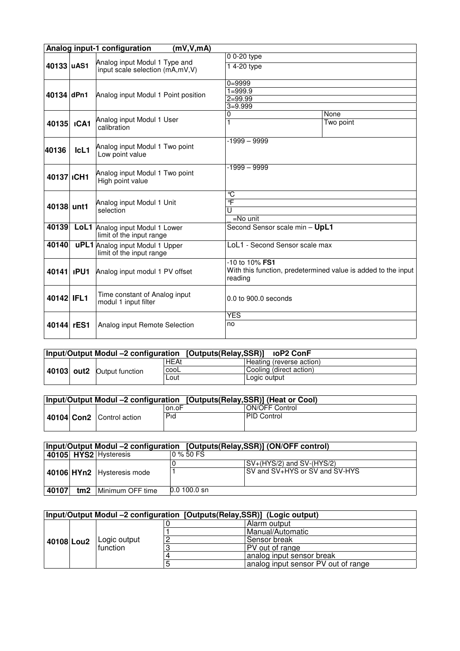|                  | Analog input-1 configuration<br>(mV, V, mA) |                                                                    |                                                                                            |           |  |  |  |  |
|------------------|---------------------------------------------|--------------------------------------------------------------------|--------------------------------------------------------------------------------------------|-----------|--|--|--|--|
|                  |                                             |                                                                    | $00-20$ type                                                                               |           |  |  |  |  |
| 40133 uAS1       |                                             | Analog input Modul 1 Type and<br>input scale selection (mA,mV,V)   | 14-20 type                                                                                 |           |  |  |  |  |
|                  |                                             |                                                                    | $0 = 9999$                                                                                 |           |  |  |  |  |
| 40134 dPn1       |                                             | Analog input Modul 1 Point position                                | $1 = 999.9$                                                                                |           |  |  |  |  |
|                  |                                             |                                                                    | $2 = 99.99$                                                                                |           |  |  |  |  |
|                  |                                             |                                                                    | $3 = 9.999$                                                                                |           |  |  |  |  |
|                  |                                             | Analog input Modul 1 User                                          | 0                                                                                          | None      |  |  |  |  |
| 40135            | <b>ICA1</b>                                 | calibration                                                        | 1                                                                                          | Two point |  |  |  |  |
|                  |                                             |                                                                    | $-1999 - 9999$                                                                             |           |  |  |  |  |
| 40136            | $lcl1$                                      | Analog input Modul 1 Two point<br>Low point value                  |                                                                                            |           |  |  |  |  |
| 40137 ICH1       |                                             | Analog input Modul 1 Two point<br>High point value                 | $-1999 - 9999$                                                                             |           |  |  |  |  |
|                  |                                             |                                                                    | °C                                                                                         |           |  |  |  |  |
| 40138 unt1       |                                             | Analog input Modul 1 Unit                                          | $\overline{\mathsf{F}}$                                                                    |           |  |  |  |  |
|                  |                                             | selection                                                          | U                                                                                          |           |  |  |  |  |
|                  |                                             |                                                                    | $=$ No unit                                                                                |           |  |  |  |  |
| 40139            |                                             | LoL1 Analog input Modul 1 Lower<br>limit of the input range        | Second Sensor scale min - UpL1                                                             |           |  |  |  |  |
| 40140            |                                             | <b>uPL1</b> Analog input Modul 1 Upper<br>limit of the input range | LoL1 - Second Sensor scale max                                                             |           |  |  |  |  |
| 40141 <b>PU1</b> |                                             | Analog input modul 1 PV offset                                     | -10 to 10% FS1<br>With this function, predetermined value is added to the input<br>reading |           |  |  |  |  |
| 40142 IFL1       |                                             | Time constant of Analog input<br>modul 1 input filter              | $0.0$ to $900.0$ seconds                                                                   |           |  |  |  |  |
|                  |                                             |                                                                    | <b>YES</b>                                                                                 |           |  |  |  |  |
| 40144            | rES1                                        | Analog input Remote Selection                                      | no                                                                                         |           |  |  |  |  |

|  |                                            | Input/Output Modul -2 configuration [Outputs(Relay, SSR)] ioP2 ConF |                          |
|--|--------------------------------------------|---------------------------------------------------------------------|--------------------------|
|  |                                            | HEAt                                                                | Heating (reverse action) |
|  | cooL<br>40103 out2 Output function<br>∟out |                                                                     | Cooling (direct action)  |
|  |                                            |                                                                     | Logic output             |

| Input/Output Modul -2 configuration [Outputs(Relay,SSR)] (Heat or Cool) |                           |       |                       |  |  |
|-------------------------------------------------------------------------|---------------------------|-------|-----------------------|--|--|
|                                                                         |                           | on.oF | <b>ON/OFF Control</b> |  |  |
|                                                                         | 40104 Con2 Control action | Pid   | <b>PID Control</b>    |  |  |

|       | Input/Output Modul -2 configuration [Outputs(Relay, SSR)] (ON/OFF control) |                            |                |                                |  |  |
|-------|----------------------------------------------------------------------------|----------------------------|----------------|--------------------------------|--|--|
|       |                                                                            | 40105 HYS2 Hysteresis      | 0 % 50 FS      |                                |  |  |
|       |                                                                            |                            |                | $SV+(HYS/2)$ and SV- $(HYS/2)$ |  |  |
|       |                                                                            | 40106 HYn2 Hysteresis mode |                | SV and SV+HYS or SV and SV-HYS |  |  |
| 40107 | tm <sub>2</sub>                                                            | Minimum OFF time           | $0.0$ 100.0 sn |                                |  |  |

| Input/Output Modul -2 configuration [Outputs(Relay, SSR)] (Logic output) |  |              |  |                                     |  |  |  |
|--------------------------------------------------------------------------|--|--------------|--|-------------------------------------|--|--|--|
|                                                                          |  |              |  | Alarm output                        |  |  |  |
|                                                                          |  |              |  | Manual/Automatic                    |  |  |  |
| 40108 Lou2                                                               |  | Logic output |  | Sensor break                        |  |  |  |
|                                                                          |  | function     |  | PV out of range                     |  |  |  |
|                                                                          |  |              |  | analog input sensor break           |  |  |  |
|                                                                          |  |              |  | analog input sensor PV out of range |  |  |  |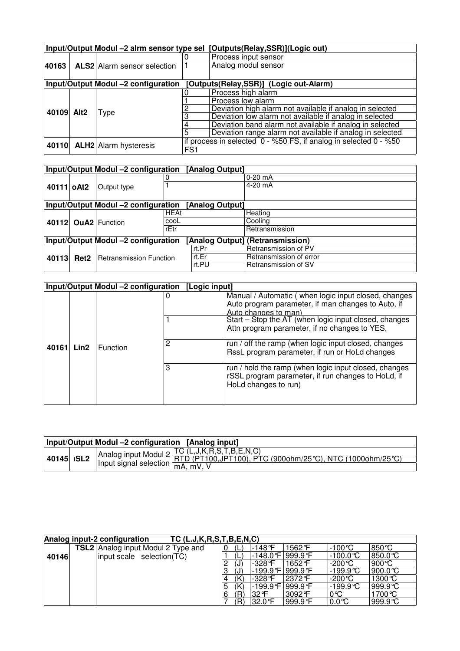|            |                                                                               | Input/Output Modul -2 alrm sensor type sel |                 | [Outputs(Relay,SSR)](Logic out)                                  |  |  |
|------------|-------------------------------------------------------------------------------|--------------------------------------------|-----------------|------------------------------------------------------------------|--|--|
|            |                                                                               |                                            |                 | Process input sensor                                             |  |  |
| 40163      |                                                                               | ALS2 Alarm sensor selection                |                 | Analog modul sensor                                              |  |  |
|            |                                                                               |                                            |                 |                                                                  |  |  |
|            | Input/Output Modul -2 configuration<br>[Outputs(Relay,SSR)] (Logic out-Alarm) |                                            |                 |                                                                  |  |  |
|            |                                                                               |                                            |                 | Process high alarm                                               |  |  |
|            |                                                                               |                                            |                 | Process low alarm                                                |  |  |
| 40109 Alt2 |                                                                               |                                            |                 | Deviation high alarm not available if analog in selected         |  |  |
|            |                                                                               | <b>Type</b>                                |                 | Deviation low alarm not available if analog in selected          |  |  |
|            |                                                                               |                                            |                 | Deviation band alarm not available if analog in selected         |  |  |
|            |                                                                               |                                            |                 | Deviation range alarm not available if analog in selected        |  |  |
|            |                                                                               |                                            |                 | if process in selected 0 - %50 FS, if analog in selected 0 - %50 |  |  |
| 40110      |                                                                               | <b>ALH2</b> Alarm hysteresis               | FS <sub>1</sub> |                                                                  |  |  |

|            | Input/Output Modul -2 configuration<br>[Analog Output] |                                     |             |       |                                  |
|------------|--------------------------------------------------------|-------------------------------------|-------------|-------|----------------------------------|
|            |                                                        |                                     |             |       | $0-20$ mA                        |
| 40111 oAt2 |                                                        | Output type                         |             |       | $4-20$ mA                        |
|            |                                                        |                                     |             |       |                                  |
|            | Input/Output Modul -2 configuration<br>[Analog Output] |                                     |             |       |                                  |
|            |                                                        | <b>OuA2</b> Function                | <b>HEAt</b> |       | Heating                          |
| 40112      |                                                        |                                     | cooL        |       | Cooling                          |
|            |                                                        |                                     | rEtr        |       | Retransmission                   |
|            |                                                        | Input/Output Modul -2 configuration |             |       | [Analog Output] (Retransmission) |
|            |                                                        |                                     |             | rt.Pr | Retransmission of PV             |
| 40113      | Ret <sub>2</sub>                                       | <b>Retransmission Function</b>      |             | rt.Er | Retransmission of error          |
|            |                                                        |                                     |             | rt.PU | Retransmission of SV             |

|       |      | Input/Output Modul -2 configuration [Logic input] |                                                                                                                                     |
|-------|------|---------------------------------------------------|-------------------------------------------------------------------------------------------------------------------------------------|
|       |      |                                                   | Manual / Automatic (when logic input closed, changes<br>Auto program parameter, if man changes to Auto, if<br>Auto changes to man)  |
|       |      |                                                   | Start – Stop the AT (when logic input closed, changes<br>Attn program parameter, if no changes to YES,                              |
| 40161 | Lin2 | 2<br>Function<br>3                                | run / off the ramp (when logic input closed, changes<br>RssL program parameter, if run or HoLd changes                              |
|       |      |                                                   | run / hold the ramp (when logic input closed, changes<br>rSSL program parameter, if run changes to HoLd, if<br>HoLd changes to run) |

| Input/Output Modul -2 configuration [Analog input] |                   |  |                                                                                                                                                                     |  |  |
|----------------------------------------------------|-------------------|--|---------------------------------------------------------------------------------------------------------------------------------------------------------------------|--|--|
|                                                    | 40145 <b>ISL2</b> |  | Analog input Modul 2 TC (L,J,K,R,S,T,B,E,N,C)<br>Input signal selection $\frac{\text{RTD (PT100, JPT100), PTC (900ohm/25°C), NTC (1000ohm/25°C)}{\text{mA, mV, V}}$ |  |  |
|                                                    |                   |  |                                                                                                                                                                     |  |  |

|       | Analog input-2 configuration       | TC (L.J,K,R,S,T,B,E,N,C) |    |                  |         |                   |                   |
|-------|------------------------------------|--------------------------|----|------------------|---------|-------------------|-------------------|
|       | TSL2 Analog input Modul 2 Type and |                          | 'L | $-148$ °F        | 1562 F  | $-100^{\circ}$ C  | $850^{\circ}$ C   |
| 40146 | input scale selection(TC)          |                          |    | -148.0℉ 999.9℉   |         | $-100.0^{\circ}C$ | 850.0 °C          |
|       |                                    |                          | (J | $-328$ °F        | 1652 °F | $-200^{\circ}$ C  | 900 $\degree$ C   |
|       |                                    |                          | (J | -199.9°F 999.9°F |         | -199.9℃           | 900.0 $\degree$ C |
|       |                                    |                          |    | $-328$ °F        | 2372 F  | $-200^{\circ}C$   | 1300 ℃            |
|       |                                    |                          |    |                  | 999.9°F | -199.9℃           | $999.9^{\circ}C$  |
|       |                                    |                          | Ά  | 32 F             | 3092°F  | 0℃                | 1700 °C           |
|       |                                    |                          | Ά  | 32.0 F           | 999.9°F | $0.0^{\circ}C$    | $999.9^{\circ}C$  |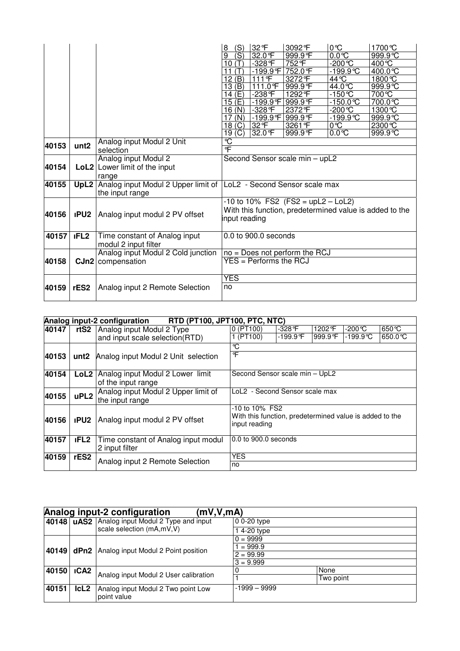|       |                  |                                                                                | (S)<br>8              | 32 F                        | 3092°F                               | $0^{\circ}C$         | 1700℃                                                   |
|-------|------------------|--------------------------------------------------------------------------------|-----------------------|-----------------------------|--------------------------------------|----------------------|---------------------------------------------------------|
|       |                  |                                                                                | (S)<br>9              | 32.0 °F                     | 999.9°F                              | $0.0^\circ C$        | 999.9 °C                                                |
|       |                  |                                                                                | 10 $(T)$              | $-328$ <sup>°</sup> F       | 752°F                                | $-200^{\circ}C$      | 400°C                                                   |
|       |                  |                                                                                | (T)<br>11             | $-199.9$ °F                 | 752.0 °F                             | $-199.9^{\circ}$ C   | 400.0℃                                                  |
|       |                  |                                                                                | 12(B)                 | 111°F                       | 3272°F                               | 44 °C                | 1800℃                                                   |
|       |                  |                                                                                | 13(B)                 | $111.0$ F                   | 999.9°F                              | $44.0^{\circ}C$      | 999.9°C                                                 |
|       |                  |                                                                                | 14(E)                 | $-238$ <sup>°</sup> F       | 1292 °F                              | $-150^{\circ}$ C     | 700℃                                                    |
|       |                  |                                                                                | 15(E)                 | -199.9 F 999.9 F            |                                      | $-150.0$ °C          | 700.0℃                                                  |
|       |                  |                                                                                | 16(N)                 | $-328$ <sup>°</sup> F       | 2372 F                               | $-200^{\circ}C$      | 1300℃                                                   |
|       |                  |                                                                                | 17 $(N)$              | -199.9°F 999.9°F            |                                      | $-199.9\overline{C}$ | 999.9 °C                                                |
|       |                  |                                                                                | 18 <sub>(C)</sub>     | 32 F                        | 3261 F                               | 0°C                  | 2300 °C                                                 |
|       |                  |                                                                                | (C)<br>19             | 32.0 °F                     | 999.9 F                              | $0.0^\circ C$        | 999.9 °C                                                |
| 40153 | unt <sub>2</sub> | Analog input Modul 2 Unit                                                      | $\overline{\text{C}}$ |                             |                                      |                      |                                                         |
|       |                  | selection                                                                      | °F                    |                             |                                      |                      |                                                         |
|       |                  | Analog input Modul 2                                                           |                       |                             | Second Sensor scale min - upL2       |                      |                                                         |
| 40154 |                  | LoL2 Lower limit of the input                                                  |                       |                             |                                      |                      |                                                         |
|       |                  | range                                                                          |                       |                             |                                      |                      |                                                         |
| 40155 |                  | <b>UpL2</b> Analog input Modul 2 Upper limit of LoL2 - Second Sensor scale max |                       |                             |                                      |                      |                                                         |
|       |                  | the input range                                                                |                       |                             |                                      |                      |                                                         |
|       |                  |                                                                                |                       |                             | $-10$ to 10% FS2 (FS2 = upL2 - LoL2) |                      |                                                         |
|       |                  |                                                                                |                       |                             |                                      |                      | With this function, predetermined value is added to the |
| 40156 | <b>IPU2</b>      | Analog input modul 2 PV offset                                                 | input reading         |                             |                                      |                      |                                                         |
|       |                  |                                                                                |                       |                             |                                      |                      |                                                         |
| 40157 | <b>IFL2</b>      | Time constant of Analog input                                                  |                       | 0.0 to 900.0 seconds        |                                      |                      |                                                         |
|       |                  | modul 2 input filter                                                           |                       |                             |                                      |                      |                                                         |
|       |                  | Analog input Modul 2 Cold junction                                             |                       |                             | $no = Does not perform the RCJ$      |                      |                                                         |
| 40158 |                  | CJn2 compensation                                                              |                       | $YES = Performance the RCJ$ |                                      |                      |                                                         |
|       |                  |                                                                                |                       |                             |                                      |                      |                                                         |
|       |                  |                                                                                | <b>YES</b>            |                             |                                      |                      |                                                         |
| 40159 | rES <sub>2</sub> | Analog input 2 Remote Selection                                                | no                    |                             |                                      |                      |                                                         |
|       |                  |                                                                                |                       |                             |                                      |                      |                                                         |
|       |                  |                                                                                |                       |                             |                                      |                      |                                                         |

|       | Analog input-2 configuration RTD (PT100, JPT100, PTC, NTC) |                                                        |                                                                                            |                       |         |                    |                   |  |
|-------|------------------------------------------------------------|--------------------------------------------------------|--------------------------------------------------------------------------------------------|-----------------------|---------|--------------------|-------------------|--|
| 40147 | rtS2                                                       | Analog input Modul 2 Type                              | 0 (PT100)                                                                                  | $-328$ <sup>°</sup> F | 1202 °F | -200℃              | $650^{\circ}$ C   |  |
|       |                                                            | and input scale selection(RTD)                         | 1 (PT100)                                                                                  | -199.9℉               | 999.9°F | $-199.9^{\circ}$ C | $650.0^{\circ}$ C |  |
|       |                                                            |                                                        | °C                                                                                         |                       |         |                    |                   |  |
| 40153 | unt2                                                       | Analog input Modul 2 Unit selection                    | °F                                                                                         |                       |         |                    |                   |  |
| 40154 | LoL2                                                       | Analog input Modul 2 Lower limit<br>of the input range | Second Sensor scale min - UpL2                                                             |                       |         |                    |                   |  |
| 40155 | uPL <sub>2</sub>                                           | Analog input Modul 2 Upper limit of<br>the input range | LoL2 - Second Sensor scale max                                                             |                       |         |                    |                   |  |
| 40156 | <b>IPU2</b>                                                | Analog input modul 2 PV offset                         | -10 to 10% FS2<br>With this function, predetermined value is added to the<br>input reading |                       |         |                    |                   |  |
| 40157 | <b>IFL2</b>                                                | Time constant of Analog input modul<br>2 input filter  | 0.0 to 900.0 seconds                                                                       |                       |         |                    |                   |  |
| 40159 | rES2                                                       | Analog input 2 Remote Selection                        | <b>YES</b><br>no                                                                           |                       |         |                    |                   |  |

|       | Analog input-2 configuration<br>(mV, V, mA) |                                                    |                |           |  |  |  |  |  |
|-------|---------------------------------------------|----------------------------------------------------|----------------|-----------|--|--|--|--|--|
|       |                                             | 40148   uAS2   Analog input Modul 2 Type and input | $00-20$ type   |           |  |  |  |  |  |
|       |                                             | scale selection (mA,mV,V)                          | 14-20 type     |           |  |  |  |  |  |
|       |                                             |                                                    | $0 = 9999$     |           |  |  |  |  |  |
|       | 40149 dPn2                                  | Analog input Modul 2 Point position                | $1 = 999.9$    |           |  |  |  |  |  |
|       |                                             |                                                    | $2 = 99.99$    |           |  |  |  |  |  |
|       |                                             |                                                    | $3 = 9.999$    |           |  |  |  |  |  |
| 40150 | <b>ICA2</b>                                 |                                                    |                | None      |  |  |  |  |  |
|       |                                             | Analog input Modul 2 User calibration              |                | Two point |  |  |  |  |  |
| 40151 | lcL2                                        | Analog input Modul 2 Two point Low<br>point value  | $-1999 - 9999$ |           |  |  |  |  |  |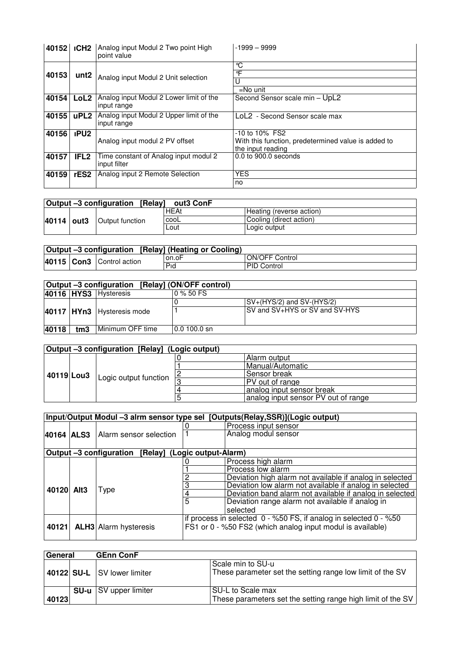| 40152 | <b>ICH2</b>      | Analog input Modul 2 Two point High<br>point value     | $-1999 - 9999$                                                                                  |
|-------|------------------|--------------------------------------------------------|-------------------------------------------------------------------------------------------------|
| 40153 | unt <sub>2</sub> | Analog input Modul 2 Unit selection                    | °C<br>°F<br>$=$ No unit                                                                         |
| 40154 | LoL <sub>2</sub> | Analog input Modul 2 Lower limit of the<br>input range | Second Sensor scale min - UpL2                                                                  |
| 40155 | uPL <sub>2</sub> | Analog input Modul 2 Upper limit of the<br>input range | LoL2 - Second Sensor scale max                                                                  |
| 40156 | <b>IPU2</b>      | Analog input modul 2 PV offset                         | $-10$ to $10\%$ FS2<br>With this function, predetermined value is added to<br>the input reading |
| 40157 | IFL <sub>2</sub> | Time constant of Analog input modul 2<br>input filter  | 0.0 to 900.0 seconds                                                                            |
| 40159 | rES <sub>2</sub> | Analog input 2 Remote Selection                        | <b>YES</b><br>no                                                                                |

| Output -3 configuration<br>[Relav]<br>out3 ConF |  |                 |      |                          |  |
|-------------------------------------------------|--|-----------------|------|--------------------------|--|
|                                                 |  |                 | HEAt | Heating (reverse action) |  |
| 40114 out3                                      |  | Output function | cool | Cooling (direct action)  |  |
|                                                 |  |                 | ∟out | Logic output             |  |

| Output -3 configuration [Relay] (Heating or Cooling) |  |                           |       |                       |
|------------------------------------------------------|--|---------------------------|-------|-----------------------|
|                                                      |  |                           | on.oF | <b>ON/OFF Control</b> |
|                                                      |  | 40115 Con3 Control action | Pid   | PID Control           |

|       | Output -3 configuration [Relay] (ON/OFF control) |                                |                         |                                |  |  |
|-------|--------------------------------------------------|--------------------------------|-------------------------|--------------------------------|--|--|
|       |                                                  | 40116 HYS3 Hysteresis          | $0\%50F$ S              |                                |  |  |
|       |                                                  |                                |                         | $SV+(HYS/2)$ and $SV-(HYS/2)$  |  |  |
|       |                                                  | 40117   HYn3   Hysteresis mode |                         | SV and SV+HYS or SV and SV-HYS |  |  |
| 40118 | tm3                                              | Minimum OFF time               | $ 0.0100.0 \text{ sn} $ |                                |  |  |

| Output -3 configuration [Relay] (Logic output) |  |                       |  |                                     |  |
|------------------------------------------------|--|-----------------------|--|-------------------------------------|--|
|                                                |  |                       |  | Alarm output                        |  |
|                                                |  |                       |  | Manual/Automatic                    |  |
| ⊩40119 Lou3 L                                  |  | Logic output function |  | Sensor break                        |  |
|                                                |  |                       |  | PV out of range                     |  |
|                                                |  |                       |  | analog input sensor break           |  |
|                                                |  |                       |  | analog input sensor PV out of range |  |

|            |                                                      |   | Input/Output Modul -3 alrm sensor type sel [Outputs(Relay,SSR)](Logic output) |
|------------|------------------------------------------------------|---|-------------------------------------------------------------------------------|
|            |                                                      |   | Process input sensor                                                          |
| 40164 ALS3 | Alarm sensor selection                               |   | Analog modul sensor                                                           |
|            |                                                      |   |                                                                               |
|            | Output -3 configuration [Relay] (Logic output-Alarm) |   |                                                                               |
|            |                                                      |   | Process high alarm                                                            |
|            |                                                      |   | Process low alarm                                                             |
|            |                                                      |   | Deviation high alarm not available if analog in selected                      |
|            |                                                      |   | Deviation low alarm not available if analog in selected                       |
| 40120 Alt3 | Type                                                 |   | Deviation band alarm not available if analog in selected                      |
|            |                                                      | 5 | Deviation range alarm not available if analog in                              |
|            |                                                      |   | selected                                                                      |
|            |                                                      |   | if process in selected 0 - %50 FS, if analog in selected 0 - %50              |
| 40121      | <b>ALH3</b> Alarm hysteresis                         |   | FS1 or 0 - %50 FS2 (which analog input modul is available)                    |
|            |                                                      |   |                                                                               |

| General | <b>GEnn ConF</b>             |                                                                                  |
|---------|------------------------------|----------------------------------------------------------------------------------|
|         | 40122 SU-L SV lower limiter  | Scale min to SU-u<br>These parameter set the setting range low limit of the SV   |
| 40123   | <b>SU-u</b> SV upper limiter | SU-L to Scale max<br>These parameters set the setting range high limit of the SV |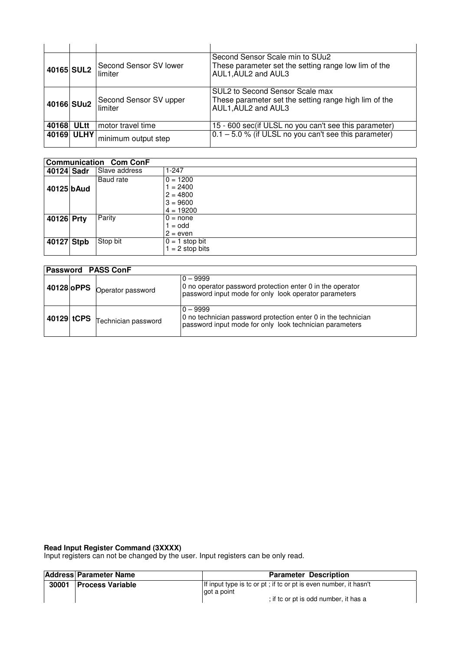|       | 40165 SUL2  | Second Sensor SV lower<br>limiter | Second Sensor Scale min to SUu2<br>These parameter set the setting range low lim of the<br>AUL1, AUL2 and AUL3  |
|-------|-------------|-----------------------------------|-----------------------------------------------------------------------------------------------------------------|
|       | 40166 SUu2  | Second Sensor SV upper<br>limiter | SUL2 to Second Sensor Scale max<br>These parameter set the setting range high lim of the<br>AUL1, AUL2 and AUL3 |
| 40168 | <b>ULtt</b> | motor travel time                 | 15 - 600 sec(if ULSL no you can't see this parameter)                                                           |
|       | 40169 ULHY  | minimum output step               | $0.1 - 5.0$ % (if ULSL no you can't see this parameter)                                                         |

|            | <b>Communication Com ConF</b> |               |                   |  |  |
|------------|-------------------------------|---------------|-------------------|--|--|
| 40124 Sadr |                               | Slave address | $1 - 247$         |  |  |
|            |                               | Baud rate     | $0 = 1200$        |  |  |
| 40125 bAud |                               |               | $1 = 2400$        |  |  |
|            |                               |               | $2 = 4800$        |  |  |
|            |                               |               | $3 = 9600$        |  |  |
|            |                               |               | $4 = 19200$       |  |  |
| 40126 Prty |                               | Parity        | $0 = none$        |  |  |
|            |                               |               | $1 =$ odd         |  |  |
|            |                               |               | $2 = even$        |  |  |
| 40127 Stpb |                               | Stop bit      | $0 = 1$ stop bit  |  |  |
|            |                               |               | $1 = 2$ stop bits |  |  |

| <b>Password PASS ConF</b> |                                                   |                                                                                                                                        |  |  |
|---------------------------|---------------------------------------------------|----------------------------------------------------------------------------------------------------------------------------------------|--|--|
|                           | 40128 oPPS Operator password                      | $0 - 9999$<br>0 no operator password protection enter 0 in the operator<br>password input mode for only look operator parameters       |  |  |
|                           | $\vert$ 40129 tCPS $\, \vert$ Technician password | $0 - 9999$<br>0 no technician password protection enter 0 in the technician<br>password input mode for only look technician parameters |  |  |

#### **Read Input Register Command (3XXXX)**

Input registers can not be changed by the user. Input registers can be only read.

|       | <b>Address Parameter Name</b> | <b>Parameter Description</b>                                                                                             |
|-------|-------------------------------|--------------------------------------------------------------------------------------------------------------------------|
| 30001 | <b>Process Variable</b>       | If input type is to or pt; if to or pt is even number, it hasn't<br>got a point<br>; if to or pt is odd number, it has a |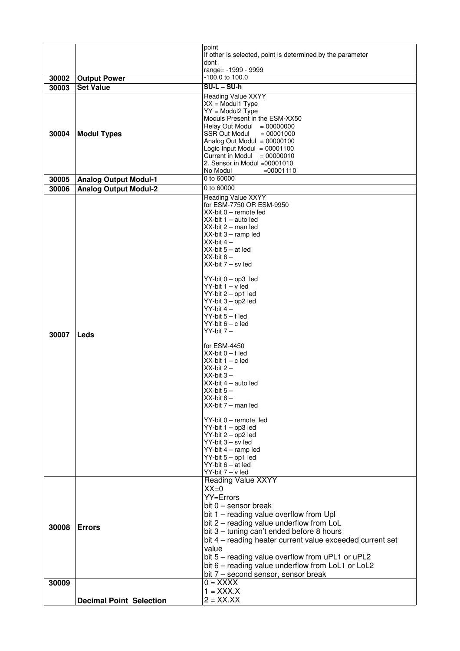|                |                                | point                                                                                                                                                                                                                                                                                                                                                                                                                                                                                                                                                                                                                                                                                                                                                                                                                                                                                                                                                                                                                                                                                                                                        |
|----------------|--------------------------------|----------------------------------------------------------------------------------------------------------------------------------------------------------------------------------------------------------------------------------------------------------------------------------------------------------------------------------------------------------------------------------------------------------------------------------------------------------------------------------------------------------------------------------------------------------------------------------------------------------------------------------------------------------------------------------------------------------------------------------------------------------------------------------------------------------------------------------------------------------------------------------------------------------------------------------------------------------------------------------------------------------------------------------------------------------------------------------------------------------------------------------------------|
|                |                                | If other is selected, point is determined by the parameter                                                                                                                                                                                                                                                                                                                                                                                                                                                                                                                                                                                                                                                                                                                                                                                                                                                                                                                                                                                                                                                                                   |
|                |                                | dpnt                                                                                                                                                                                                                                                                                                                                                                                                                                                                                                                                                                                                                                                                                                                                                                                                                                                                                                                                                                                                                                                                                                                                         |
|                |                                | range= -1999 - 9999<br>-100.0 to 100.0                                                                                                                                                                                                                                                                                                                                                                                                                                                                                                                                                                                                                                                                                                                                                                                                                                                                                                                                                                                                                                                                                                       |
| 30002          | <b>Output Power</b>            | $SU-L-SU-h$                                                                                                                                                                                                                                                                                                                                                                                                                                                                                                                                                                                                                                                                                                                                                                                                                                                                                                                                                                                                                                                                                                                                  |
| 30003          | <b>Set Value</b>               |                                                                                                                                                                                                                                                                                                                                                                                                                                                                                                                                                                                                                                                                                                                                                                                                                                                                                                                                                                                                                                                                                                                                              |
| 30004          | <b>Modul Types</b>             | Reading Value XXYY<br>$XX = Modul1$ Type<br>$YY = Modul2$ Type<br>Moduls Present in the ESM-XX50<br>Relay Out Modul = $00000000$<br>SSR Out Modul<br>$= 00001000$<br>Analog Out Modul = $00000100$<br>Logic Input Modul = $00001100$<br>Current in Modul $= 00000010$                                                                                                                                                                                                                                                                                                                                                                                                                                                                                                                                                                                                                                                                                                                                                                                                                                                                        |
|                |                                | 2. Sensor in Modul = 00001010<br>No Modul<br>$=00001110$                                                                                                                                                                                                                                                                                                                                                                                                                                                                                                                                                                                                                                                                                                                                                                                                                                                                                                                                                                                                                                                                                     |
| 30005          | <b>Analog Output Modul-1</b>   | 0 to 60000                                                                                                                                                                                                                                                                                                                                                                                                                                                                                                                                                                                                                                                                                                                                                                                                                                                                                                                                                                                                                                                                                                                                   |
| 30006          | <b>Analog Output Modul-2</b>   | 0 to 60000                                                                                                                                                                                                                                                                                                                                                                                                                                                                                                                                                                                                                                                                                                                                                                                                                                                                                                                                                                                                                                                                                                                                   |
| 30007<br>30008 | Leds<br><b>Errors</b>          | <b>Reading Value XXYY</b><br>for ESM-7750 OR ESM-9950<br>$XX$ -bit $0$ – remote led<br>$XX$ -bit 1 - auto led<br>XX-bit 2 - man led<br>$XX$ -bit $3 -$ ramp led<br>$XX$ -bit 4 $-$<br>$XX-bit 5 - at led$<br>$XX-bit 6 -$<br>$XX$ -bit $7 - sv$ led<br>$YY-bit 0 - op3$ led<br>$YY-bit 1 - v led$<br>YY-bit 2 - op1 led<br>YY-bit 3 - op2 led<br>$YY-bit 4-$<br>$YY-bit 5 - f led$<br>$YY$ -bit $6 - c$ led<br>$YY-bit 7-$<br>for ESM-4450<br>$XX-bit$ $0 - f$ led<br>$XX-bit 1 - c$ led<br>$XX-bit 2 -$<br>$XX-bit$ 3 $-$<br>$XX$ -bit $4$ – auto led<br>$XX-bit 5 -$<br>$XX-bit 6 -$<br>$XX$ -bit $7 -$ man led<br>YY-bit 0 - remote led<br>YY-bit 1 - op3 led<br>YY-bit 2 - op2 led<br>YY-bit 3 - sv led<br>$YY-bit$ 4 – ramp led<br>YY-bit 5 - op1 led<br>$YY-bit 6 - at led$<br>$YY-bit 7 - v led$<br>Reading Value XXYY<br>$XX=0$<br>YY=Errors<br>bit $0$ – sensor break<br>bit 1 - reading value overflow from Upl<br>bit 2 - reading value underflow from LoL<br>bit 3 - tuning can't ended before 8 hours<br>bit 4 – reading heater current value exceeded current set<br>value<br>bit 5 – reading value overflow from uPL1 or uPL2 |
|                |                                | bit 6 - reading value underflow from LoL1 or LoL2<br>bit 7 - second sensor, sensor break                                                                                                                                                                                                                                                                                                                                                                                                                                                                                                                                                                                                                                                                                                                                                                                                                                                                                                                                                                                                                                                     |
| 30009          |                                | $0 = XXXX$                                                                                                                                                                                                                                                                                                                                                                                                                                                                                                                                                                                                                                                                                                                                                                                                                                                                                                                                                                                                                                                                                                                                   |
|                |                                | $1 = XXX.X$                                                                                                                                                                                                                                                                                                                                                                                                                                                                                                                                                                                                                                                                                                                                                                                                                                                                                                                                                                                                                                                                                                                                  |
|                | <b>Decimal Point Selection</b> | $2 = XXX.XX$                                                                                                                                                                                                                                                                                                                                                                                                                                                                                                                                                                                                                                                                                                                                                                                                                                                                                                                                                                                                                                                                                                                                 |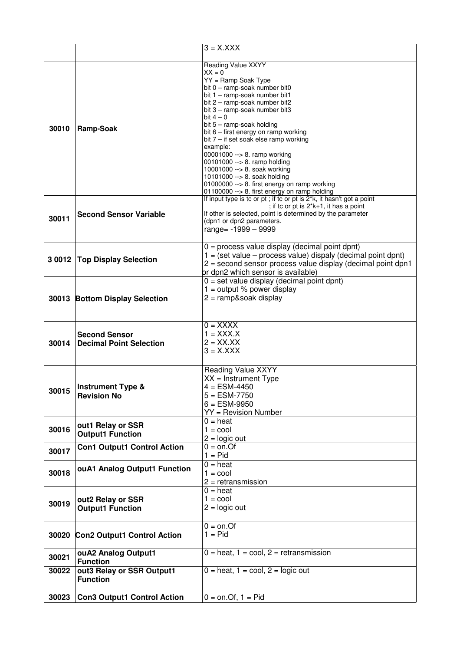|       |                                                        | $3 = X.XXX$                                                                                                                                                                                                                                                                                                                                                                                                                                                                                                                                                               |
|-------|--------------------------------------------------------|---------------------------------------------------------------------------------------------------------------------------------------------------------------------------------------------------------------------------------------------------------------------------------------------------------------------------------------------------------------------------------------------------------------------------------------------------------------------------------------------------------------------------------------------------------------------------|
| 30010 | Ramp-Soak                                              | <b>Reading Value XXYY</b><br>$XX = 0$<br>YY = Ramp Soak Type<br>bit 0 - ramp-soak number bit0<br>bit 1 - ramp-soak number bit1<br>bit 2 - ramp-soak number bit2<br>bit 3 - ramp-soak number bit3<br>bit $4-0$<br>bit 5 - ramp-soak holding<br>bit 6 - first energy on ramp working<br>bit $7 -$ if set soak else ramp working<br>example:<br>00001000 --> 8. ramp working<br>00101000 --> 8. ramp holding<br>10001000 --> 8. soak working<br>10101000 --> 8. soak holding<br>01000000 --> 8. first energy on ramp working<br>01100000 --> 8. first energy on ramp holding |
| 30011 | <b>Second Sensor Variable</b>                          | If input type is to or pt; if to or pt is 2 <sup>*k</sup> , it hasn't got a point<br>; if to or pt is $2*k+1$ , it has a point<br>If other is selected, point is determined by the parameter<br>(dpn1 or dpn2 parameters.<br>range= $-1999 - 9999$                                                                                                                                                                                                                                                                                                                        |
|       | 3 0012   Top Display Selection                         | $0 =$ process value display (decimal point dpnt)<br>$1 = (set value - process value) display (decimal point)$<br>2 = second sensor process value display (decimal point dpn1<br>or dpn2 which sensor is available)                                                                                                                                                                                                                                                                                                                                                        |
|       | 30013 Bottom Display Selection                         | $0 = set$ value display (decimal point dpnt)<br>$1 =$ output % power display<br>$2 =$ ramp&soak display                                                                                                                                                                                                                                                                                                                                                                                                                                                                   |
| 30014 | <b>Second Sensor</b><br><b>Decimal Point Selection</b> | $0 = XXXX$<br>$1 = XXXX.X$<br>$2 = XX.XX$<br>$3 = X.XXX$                                                                                                                                                                                                                                                                                                                                                                                                                                                                                                                  |
| 30015 | <b>Instrument Type &amp;</b><br><b>Revision No</b>     | <b>Reading Value XXYY</b><br>$XX =$ Instrument Type<br>$4 = ESM-4450$<br>$5 = ESM-7750$<br>$6 = ESM-9950$<br>YY = Revision Number                                                                                                                                                                                                                                                                                                                                                                                                                                         |
| 30016 | out1 Relay or SSR<br><b>Output1 Function</b>           | $0 = heat$<br>$1 = \text{cool}$<br>$2 =$ logic out                                                                                                                                                                                                                                                                                                                                                                                                                                                                                                                        |
| 30017 | <b>Con1 Output1 Control Action</b>                     | $0 =$ on.Of<br>$1 = Pid$                                                                                                                                                                                                                                                                                                                                                                                                                                                                                                                                                  |
| 30018 | ouA1 Analog Output1 Function                           | $0 = heat$<br>$1 = \text{cool}$<br>$2 = retransmission$                                                                                                                                                                                                                                                                                                                                                                                                                                                                                                                   |
| 30019 | out2 Relay or SSR<br><b>Output1 Function</b>           | $0 = heat$<br>$1 = \text{cool}$<br>$2 =$ logic out                                                                                                                                                                                                                                                                                                                                                                                                                                                                                                                        |
| 30020 | <b>Con2 Output1 Control Action</b>                     | $0 = on.$ Of<br>$1 =$ Pid                                                                                                                                                                                                                                                                                                                                                                                                                                                                                                                                                 |
| 30021 | ouA2 Analog Output1<br><b>Function</b>                 | $0 = heat$ , $1 = cool$ , $2 = retransmission$                                                                                                                                                                                                                                                                                                                                                                                                                                                                                                                            |
| 30022 | out3 Relay or SSR Output1<br><b>Function</b>           | $0 = heat$ , $1 = cool$ , $2 = logic$ out                                                                                                                                                                                                                                                                                                                                                                                                                                                                                                                                 |
| 30023 | <b>Con3 Output1 Control Action</b>                     | $0 =$ on.Of, $1 =$ Pid                                                                                                                                                                                                                                                                                                                                                                                                                                                                                                                                                    |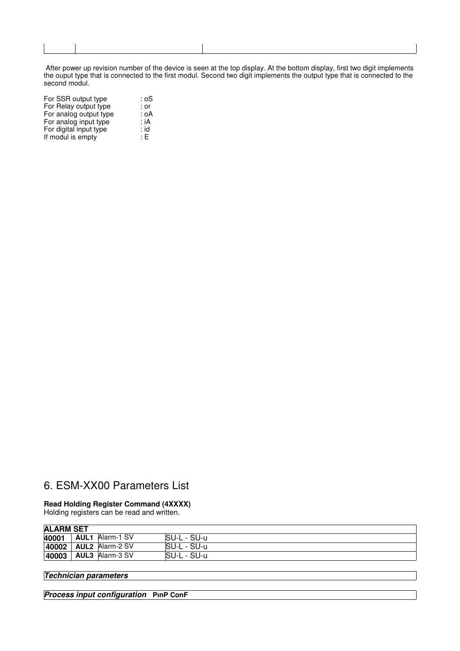After power up revision number of the device is seen at the top display. At the bottom display, first two digit implements the ouput type that is connected to the first modul. Second two digit implements the output type that is connected to the second modul.

| For SSR output type    | : oS |
|------------------------|------|
| For Relay output type  | : or |
| For analog output type | : oA |
| For analog input type  | : iA |
| For digital input type | : id |
| If modul is empty      | : E  |

#### 6. ESM-XX00 Parameters List

#### **Read Holding Register Command (4XXXX)**

Holding registers can be read and written.

| <b>ALARM SET</b> |                        |             |
|------------------|------------------------|-------------|
| 40001            | <b>AUL1</b> Alarm-1 SV | SU-L - SU-u |
| 40002            | <b>AUL2</b> Alarm-2 SV | SU-L - SU-u |
| 40003            | <b>AUL3</b> Alarm-3 SV | SU-L - SU-u |

#### **Technician parameters**

**Process input configuration PınP ConF**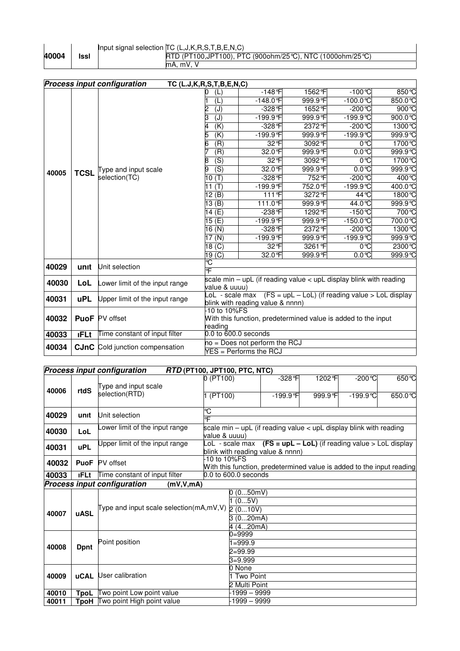#### Input signal selection TC (L,J,K,R,S,T,B,E,N,C) RTD (PT100,JPT100), PTC (900ohm/25°C), NTC (1000ohm/25°C) mA, mV, V

|       |             | <b>Process input configuration</b>     | TC (L.J, K, R, S, T, B, E, N, C) |                                                                         |          |                    |                          |  |
|-------|-------------|----------------------------------------|----------------------------------|-------------------------------------------------------------------------|----------|--------------------|--------------------------|--|
|       |             |                                        | (L)                              | $-148$ °F                                                               | 1562°F   | $-100^{\circ}C$    | 850 °C                   |  |
|       |             |                                        | (L)                              | $-148.0$ °F                                                             | 999.9°F  | $-100.0$ °C        | 850.0 $\overline{\circ}$ |  |
|       |             |                                        | (J)                              | -328 F                                                                  | 1652 °F  | $-200^{\circ}$ C   | $900^\circ C$            |  |
|       |             |                                        | З<br>(J)                         | $-199.9$ °F                                                             | 999.9°F  | $-199.9^{\circ}$ C | 900.0 $\degree$ C        |  |
|       |             |                                        | $\overline{(\mathsf{K})}$        | $-328$ °F                                                               | 2372 °F  | $-200^{\circ}C$    | 1300 ℃                   |  |
|       |             |                                        | 5<br>(K)                         | -199.9°F                                                                | 999.9°F  | $-199.9$ °C        | 999.9°C                  |  |
|       |             |                                        | $\overline{(\mathsf{R})}$<br>6   | 32 °F                                                                   | 3092 °F  | 0°C                | 1700℃                    |  |
|       |             |                                        | (R)                              | 32.0 °F                                                                 | 999.9°F  | $0.0^{\circ}C$     | 999.9 °C                 |  |
|       |             |                                        | (S)<br>8                         | 32 °F                                                                   | 3092°F   | 0°C                | 1700℃                    |  |
| 40005 | <b>TCSL</b> | Type and input scale                   | (S)                              | 32.0 °F                                                                 | 999.9 F  | $0.0^\circ C$      | 999.9°C                  |  |
|       |             | selection(TC)                          | (T)<br>10                        | $-328$ F                                                                | 752 F    | $-200$ °C          | 400 °C                   |  |
|       |             |                                        | 11 $(T)$                         | -199.9°F                                                                | 752.0 °F | $-199.9^{\circ}$ C | 400.0℃                   |  |
|       |             |                                        | 12(B)                            | 111°F                                                                   | 3272°F   | 44 °C              | 1800℃                    |  |
|       |             |                                        | 13(B)                            | 111.0 °F                                                                | 999.9 F  | 44.0°C             | 999.9°C                  |  |
|       |             |                                        | 14(E)                            | $-238$ °F                                                               | 1292 °F  | $-150^{\circ}$ C   | 700 °C                   |  |
|       |             |                                        | 15(E)                            | -199.9°F                                                                | 999.9°F  | $-150.0$ °C        | 700.0℃                   |  |
|       |             |                                        | 16(N)                            | $-328$ °F                                                               | 2372 °F  | $-200^{\circ}C$    | 1300 ℃                   |  |
|       |             |                                        | 17 <sub>(N)</sub>                | -199.9°F                                                                | 999.9°F  | $-199.9C$          | 999.9°C                  |  |
|       |             |                                        | 18 <sub>(C)</sub>                | 32 °F                                                                   | 3261 °F  | 0°C                | 2300 ℃                   |  |
|       |             |                                        | 19 <sub>(C)</sub>                | 32.0 °F                                                                 | 999.9 F  | $0.0^\circ C$      | 999.9°C                  |  |
| 40029 | unit        | Unit selection                         | Ğ                                |                                                                         |          |                    |                          |  |
|       |             |                                        | 吓                                |                                                                         |          |                    |                          |  |
| 40030 | LoL         | ower limit of the input range          | value & uuuu)                    | scale min $-$ upL (if reading value $<$ upL display blink with reading  |          |                    |                          |  |
|       |             |                                        |                                  | $-$ oL - scale max $(FS = upL - LoL)$ (if reading value > $LoL$ display |          |                    |                          |  |
| 40031 | <b>uPL</b>  | Upper limit of the input range         |                                  | blink with reading value & nnnn)                                        |          |                    |                          |  |
|       |             |                                        | 10 to 10%FS                      |                                                                         |          |                    |                          |  |
| 40032 |             | <b>PuoF</b> PV offset                  |                                  | With this function, predetermined value is added to the input           |          |                    |                          |  |
|       |             |                                        | reading                          |                                                                         |          |                    |                          |  |
| 40033 | <b>IFLt</b> | Time constant of input filter          | $0.0$ to $600.0$ seconds         |                                                                         |          |                    |                          |  |
| 40034 |             |                                        |                                  | no = Does not perform the RCJ                                           |          |                    |                          |  |
|       |             | <b>CJnC</b> Cold junction compensation |                                  | YES = Performs the RCJ                                                  |          |                    |                          |  |

|       |             | <b>Process input configuration</b>                | RTD (PT100, JPT100, PTC, NTC)                                                                               |                     |                     |                                        |                   |
|-------|-------------|---------------------------------------------------|-------------------------------------------------------------------------------------------------------------|---------------------|---------------------|----------------------------------------|-------------------|
| 40006 | rtdS        | Type and input scale<br>selection(RTD)            | 0 (PT100)<br>1 (PT100)                                                                                      | -328°F<br>-199.9 °F | 1202 °F<br>999.9 °F | $-200^{\circ}$ C<br>$-199.9^{\circ}$ C | 650 °C<br>650.0 ℃ |
| 40029 | unit        | Unit selection                                    | ℃<br>ᅂ                                                                                                      |                     |                     |                                        |                   |
| 40030 | LoL         | ower limit of the input range                     | scale min $-$ upL (if reading value $<$ upL display blink with reading<br>value & uuuu)                     |                     |                     |                                        |                   |
| 40031 | <b>uPL</b>  | Upper limit of the input range                    | $-$ oL - scale max $(FS = upL - LoL)$ (if reading value > $LoL$ display<br>blink with reading value & nnnn) |                     |                     |                                        |                   |
| 40032 | <b>PuoF</b> | <b>PV</b> offset                                  | $-10$ to $10\%$ FS<br>With this function, predetermined value is added to the input reading                 |                     |                     |                                        |                   |
| 40033 | <b>IFLt</b> | Time constant of input filter                     | 0.0 to 600.0 seconds                                                                                        |                     |                     |                                        |                   |
|       |             | <b>Process input configuration</b><br>(mV, V, mA) |                                                                                                             |                     |                     |                                        |                   |
| 40007 | uASL        | Type and input scale selection( $mA, mV, V$ )     | 0(050mV)<br>1(05V)<br>2(010V)<br>3(020mA)<br>4 (4…20mA)                                                     |                     |                     |                                        |                   |
| 40008 | <b>Dpnt</b> | Point position                                    | $0 = 9999$<br>$1 = 999.9$<br>2=99.99<br>$3 = 9.999$                                                         |                     |                     |                                        |                   |
| 40009 | <b>uCAL</b> | User calibration                                  | 0 None<br><b>Two Point</b><br>2 Multi Point                                                                 |                     |                     |                                        |                   |
| 40010 | TpoL        | Two point Low point value                         | -1999 – 9999                                                                                                |                     |                     |                                        |                   |
| 40011 |             | <b>TpoH</b> Two point High point value            |                                                                                                             | -1999 – 9999        |                     |                                        |                   |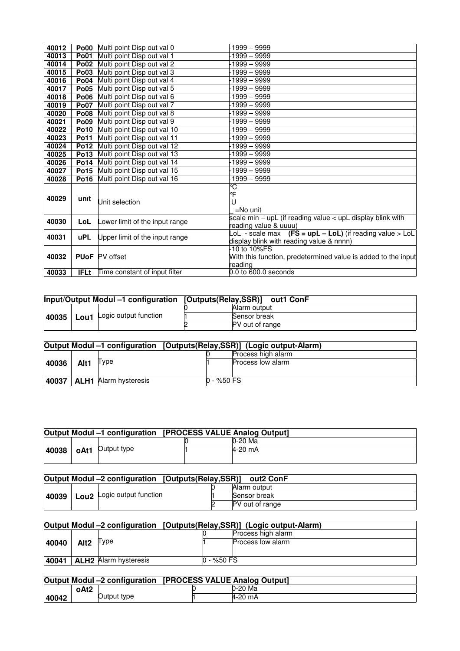| 40012 |             | <b>Po00</b> Multi point Disp out val 0 | l 1999 – 9999                                                    |
|-------|-------------|----------------------------------------|------------------------------------------------------------------|
| 40013 | <b>Po01</b> | Multi point Disp out val 1             | -1999 – 9999                                                     |
| 40014 | <b>Po02</b> | Multi point Disp out val 2             | $-1999 - 9999$                                                   |
| 40015 | <b>Po03</b> | Multi point Disp out val 3             | $-1999 - 9999$                                                   |
| 40016 | <b>Po04</b> | Multi point Disp out val 4             | -1999 – 9999                                                     |
| 40017 | <b>Po05</b> | Multi point Disp out val 5             | $-1999 - 9999$                                                   |
| 40018 | <b>Po06</b> | Multi point Disp out val 6             | -1999 – 9999                                                     |
| 40019 | <b>Po07</b> | Multi point Disp out val 7             | $-1999 - 9999$                                                   |
| 40020 | <b>Po08</b> | Multi point Disp out val 8             | -1999 – 9999                                                     |
| 40021 | <b>Po09</b> | Multi point Disp out val 9             | 1999 – 9999                                                      |
| 40022 | <b>Po10</b> | Multi point Disp out val 10            | 1999 – 9999                                                      |
| 40023 | <b>Po11</b> | Multi point Disp out val 11            | 1999 – 9999                                                      |
| 40024 | <b>Po12</b> | Multi point Disp out val 12            | -1999 – 9999                                                     |
| 40025 | <b>Po13</b> | Multi point Disp out val 13            | $-1999 - 9999$                                                   |
| 40026 | <b>Po14</b> | Multi point Disp out val 14            | ·1999 – 9999                                                     |
| 40027 | <b>Po15</b> | Multi point Disp out val 15            | $-1999 - 9999$                                                   |
| 40028 | <b>Po16</b> | Multi point Disp out val 16            | -1999 – 9999                                                     |
|       |             |                                        | ℃                                                                |
| 40029 | unit        |                                        | °F                                                               |
|       |             | Unit selection                         | U                                                                |
|       |             |                                        | $=$ No unit                                                      |
| 40030 | LoL         | Lower limit of the input range         | scale $min - upL$ (if reading value $\lt$ upL display blink with |
|       |             |                                        | reading value & uuuu)                                            |
| 40031 | <b>uPL</b>  | Upper limit of the input range         | LoL - scale max $(FS = upL - LoL)$ (if reading value > LoL       |
|       |             |                                        | display blink with reading value & nnnn)                         |
|       |             |                                        | -10 to 10%FS                                                     |
| 40032 |             | <b>PUoF</b> PV offset                  | With this function, predetermined value is added to the input    |
| 40033 | <b>IFLt</b> |                                        | reading<br>$0.0$ to $600.0$ seconds                              |
|       |             | Time constant of input filter          |                                                                  |

| Input/Output Modul -1 configuration [Outputs(Relay,SSR)] |  |                                | out1 ConF       |
|----------------------------------------------------------|--|--------------------------------|-----------------|
|                                                          |  |                                | Alarm output    |
| 40035                                                    |  | -   Lou1 Logic output function | Sensor break    |
|                                                          |  |                                | PV out of range |

|       |      |                              |            | Output Modul -1 configuration [Outputs(Relay, SSR)] (Logic output-Alarm) |
|-------|------|------------------------------|------------|--------------------------------------------------------------------------|
|       |      |                              |            | Process high alarm                                                       |
| 40036 | Alt1 | I ype                        |            | Process low alarm                                                        |
| 40037 |      | <b>ALH1</b> Alarm hysteresis | 0 - %50 FS |                                                                          |

|       |      |             | Output Modul -1 configuration [PROCESS VALUE Analog Output] |  |
|-------|------|-------------|-------------------------------------------------------------|--|
|       |      |             | l0-20 Ma                                                    |  |
| 40038 | oAt1 | Output type | 4-20 mA                                                     |  |
|       |      |             |                                                             |  |

|       | Output Modul -2 configuration [Outputs(Relay,SSR)] | out2 ConF       |
|-------|----------------------------------------------------|-----------------|
|       |                                                    | Alarm output    |
| 40039 | <b>Lou2</b> Logic output function                  | Sensor break    |
|       |                                                    | PV out of range |

| Output Modul -2 configuration [Outputs(Relay, SSR)] (Logic output-Alarm) |                  |                              |  |               |                    |
|--------------------------------------------------------------------------|------------------|------------------------------|--|---------------|--------------------|
|                                                                          |                  |                              |  |               | Process high alarm |
| 40040                                                                    | Alt <sub>2</sub> | ∥ ype                        |  |               | Process low alarm  |
|                                                                          |                  |                              |  |               |                    |
| 40041                                                                    |                  | <b>ALH2</b> Alarm hysteresis |  | $0 - \%50$ FS |                    |

|       |      | Output Modul -2 configuration [PROCESS VALUE Analog Output] |  |  |         |
|-------|------|-------------------------------------------------------------|--|--|---------|
|       | oAt2 |                                                             |  |  | 0-20 Ma |
| 40042 |      | Output type                                                 |  |  | 4-20 mA |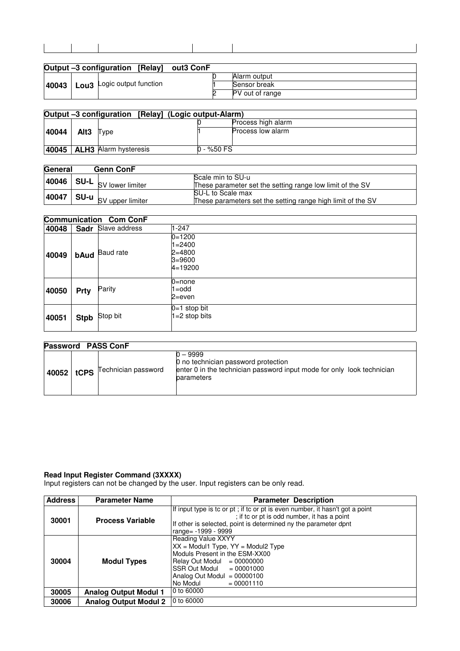|  | Output -3 configuration [Relay] out3 ConF |                 |
|--|-------------------------------------------|-----------------|
|  |                                           | Alarm output    |
|  | 40043   Lou3 Logic output function        | Sensor break    |
|  |                                           | PV out of range |

|       |                  | Output -3 configuration [Relay] (Logic output-Alarm) |            |                    |
|-------|------------------|------------------------------------------------------|------------|--------------------|
|       |                  |                                                      |            | Process high alarm |
| 40044 | Alt <sub>3</sub> | Type                                                 |            | Process low alarm  |
| 40045 |                  | <b>ALH3</b> Alarm hysteresis                         | 0 - %50 FS |                    |

| General | <b>Genn ConF</b>                                |                                                             |
|---------|-------------------------------------------------|-------------------------------------------------------------|
|         |                                                 | Scale min to SU-u                                           |
|         | 40046 SU-L SV lo <u>wer limit</u> er            | These parameter set the setting range low limit of the SV   |
|         |                                                 | SU-L to Scale max                                           |
| 40047   | -حود ∣ S <b>U-u</b> <sub>SV_upper limiter</sub> | These parameters set the setting range high limit of the SV |

#### **Communication Com ConF 40048 Sadr** Slave address 1-247 **40049 bAud** Baud rate 0=1200 1=2400  $2=4800$ 3=9600  $4=19200$ **40050 Prty** Parity 0=none 1=odd 2=even **40051** Stpb Stop bit 0=1 stop bit 1=2 stop bits

| <b>Password PASS ConF</b> |      |                     |                                                                                                                                         |  |
|---------------------------|------|---------------------|-----------------------------------------------------------------------------------------------------------------------------------------|--|
| 40052                     | tCPS | Technician password | 0 – 9999<br>0 no technician password protection<br>enter 0 in the technician password input mode for only look technician<br>parameters |  |

#### **Read Input Register Command (3XXXX)**

Input registers can not be changed by the user. Input registers can be only read.

| Address | <b>Parameter Name</b>        | <b>Parameter Description</b>                                                                                                                                                                                                 |  |
|---------|------------------------------|------------------------------------------------------------------------------------------------------------------------------------------------------------------------------------------------------------------------------|--|
| 30001   | <b>Process Variable</b>      | If input type is to or pt; if to or pt is even number, it hasn't got a point<br>; if to or pt is odd number, it has a point<br>If other is selected, point is determined ny the parameter dpnt<br>range = - 1999 - 9999      |  |
| 30004   | <b>Modul Types</b>           | Reading Value XXYY<br>$XX =$ Modul1 Type, $YY =$ Modul2 Type<br>Moduls Present in the ESM-XX00<br>Relay Out Modul $= 00000000$<br>SSR Out Modul<br>$= 00001000$<br>Analog Out Modul = $00000100$<br>No Modul<br>$= 00001110$ |  |
| 30005   | <b>Analog Output Modul 1</b> | 0 to 60000                                                                                                                                                                                                                   |  |
| 30006   | <b>Analog Output Modul 2</b> | 0 to 60000                                                                                                                                                                                                                   |  |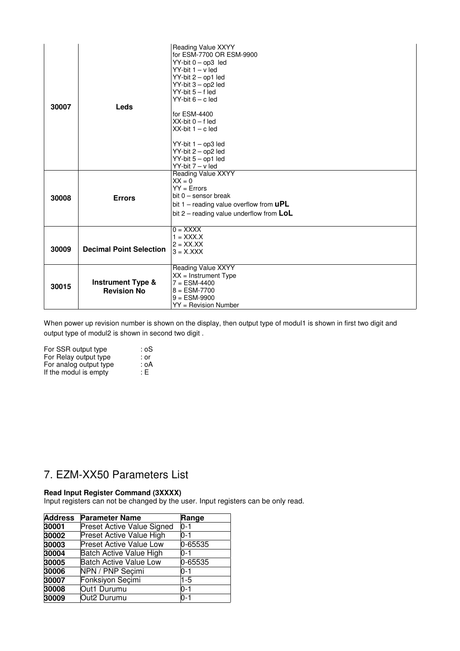| 30007 | Leds                                               | Reading Value XXYY<br>for ESM-7700 OR ESM-9900<br>$YY-bit 0 - op3$ led<br>$YY-bit 1 - v led$<br>YY-bit 2 - op1 led<br>YY-bit 3 - op2 led<br>$YY-bit 5 - f led$<br>$YY-bit 6 - c led$<br>for ESM-4400<br>$XX$ -bit $0 - f$ led<br>$XX-bit 1 - c$ led<br>$YY-bit 1 - op3 led$<br>YY-bit 2 - op2 led<br>YY-bit 5 - op1 led<br>YY-bit 7 - v led |
|-------|----------------------------------------------------|---------------------------------------------------------------------------------------------------------------------------------------------------------------------------------------------------------------------------------------------------------------------------------------------------------------------------------------------|
| 30008 | <b>Errors</b>                                      | Reading Value XXYY<br>$XX = 0$<br>$YY = Errors$<br>bit $0$ – sensor break<br>bit $1$ – reading value overflow from $\mathsf{uPL}$<br>bit $2$ – reading value underflow from $\mathsf{LoL}$                                                                                                                                                  |
| 30009 | <b>Decimal Point Selection</b>                     | $0 = XXXX$<br>$1 = XXXX$<br>$2 = XXX.XX$<br>$3 = X.XXX$                                                                                                                                                                                                                                                                                     |
| 30015 | <b>Instrument Type &amp;</b><br><b>Revision No</b> | Reading Value XXYY<br>$XX =$ Instrument Type<br>$7 = ESM-4400$<br>$8 = ESM-7700$<br>$9 = ESM-9900$<br>$YY =$ Revision Number                                                                                                                                                                                                                |

When power up revision number is shown on the display, then output type of modul1 is shown in first two digit and output type of modul2 is shown in second two digit .

| : oS  |
|-------|
| : or  |
| : oA  |
| : E : |
|       |

## 7. EZM-XX50 Parameters List

#### **Read Input Register Command (3XXXX)**

Input registers can not be changed by the user. Input registers can be only read.

| <b>Address</b> | <b>Parameter Name</b>             | Range   |
|----------------|-----------------------------------|---------|
| 30001          | <b>Preset Active Value Signed</b> | $0 - 1$ |
| 30002          | Preset Active Value High          | $0 - 1$ |
| 30003          | <b>Preset Active Value Low</b>    | 0-65535 |
| 30004          | <b>Batch Active Value High</b>    | 0-1     |
| 30005          | <b>Batch Active Value Low</b>     | 0-65535 |
| 30006          | NPN / PNP Secimi                  | 0-1     |
| 30007          | Fonksiyon Seçimi                  | 1-5     |
| 30008          | Out1 Durumu                       | $0 - 1$ |
| 30009          | Out2 Durumu                       | $0-1$   |